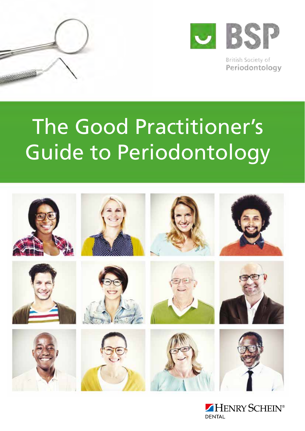



British Society of Periodontology

# The Good Practitioner's Guide to Periodontology



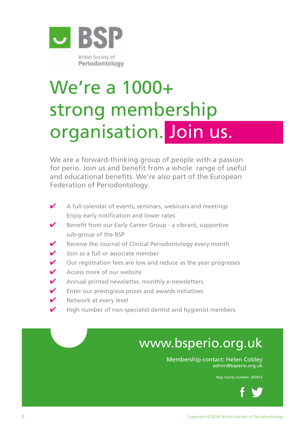

# We're a 1000+ strong membership organisation. Join us.

We are a forward-thinking group of people with a passion for perio. Join us and benefit from a whole range of useful and educational benefits. We're also part of the European Federation of Periodontology.

- $\blacktriangleright$  A full calendar of events, seminars, webinars and meetings Enjoy early notification and lower rates
- $\triangleright$  Benefit from our Early Career Group a vibrant, supportive sub-group of the BSP
- $\triangleright$  Receive the Journal of Clinical Periodontology every month
- Join as a full or associate member
- $\triangleright$  Our registration fees are low and reduce as the year progresses
- $\triangleright$  Access more of our website
- $\blacktriangleright$  Annual printed newsletter, monthly e-newsletters
- $\triangleright$  Enter our prestigious prizes and awards initiatives
- $\triangleright$  Network at every level
- $\blacktriangleright$  High number of non-specialist dentist and hygienist members

## www.bsperio.org.uk

Membership contact: Helen Cobley admin@bsperio.org.uk

Reg charity number: 265815

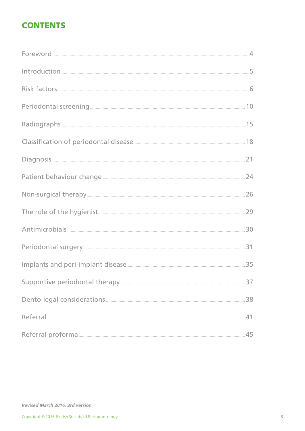## **CONTENTS**

| Referral 41 |  |
|-------------|--|
|             |  |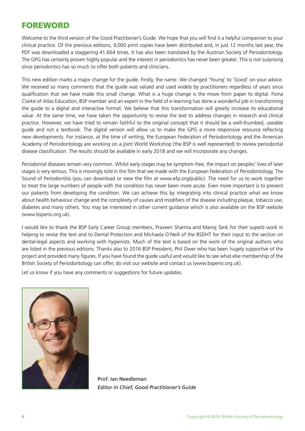## FOREWORD

Welcome to the third version of the Good Practitioner's Guide. We hope that you will find it a helpful companion to your clinical practice. Of the previous editions, 9,000 print copies have been distributed and, in just 12 months last year, the PDF was downloaded a staggering 41,664 times. It has also been translated by the Austrian Society of Periodontology. The GPG has certainly proven highly popular and the interest in periodontics has never been greater. This is not surprising since periodontics has so much to offer both patients and clinicians.

This new edition marks a major change for the guide. Firstly, the name. We changed 'Young' to 'Good' on your advice. We received so many comments that the guide was valued and used widely by practitioners regardless of years since qualification that we have made this small change. What is a huge change is the move from paper to digital. Fiona Clarke of Atlas Education, BSP member and an expert in the field of e-learning has done a wonderful job in transforming the guide to a digital and interactive format. We believe that this transformation will greatly increase its educational value. At the same time, we have taken the opportunity to revise the text to address changes in research and clinical practice. However, we have tried to remain faithful to the original concept that it should be a well-thumbed, useable guide and not a textbook. The digital version will allow us to make the GPG a more responsive resource reflecting new developments. For instance, at the time of writing, the European Federation of Periodontology and the American Academy of Periodontology are working on a joint World Workshop (the BSP is well represented) to review periodontal disease classification. The results should be available in early 2018 and we will incorporate any changes.

Periodontal diseases remain very common. Whilst early stages may be symptom-free, the impact on peoples' lives of later stages is very serious. This is movingly told in the film that we made with the European Federation of Periodontology, The Sound of Periodontitis (you can download or view the film at www.efp.org/public). The need for us to work together to treat the large numbers of people with the condition has never been more acute. Even more important is to prevent our patients from developing the condition. We can achieve this by integrating into clinical practice what we know about health behaviour change and the complexity of causes and modifiers of the disease including plaque, tobacco use, diabetes and many others. You may be interested in other current guidance which is also available on the BSP website (www.bsperio.org.uk).

I would like to thank the BSP Early Career Group members, Praveen Sharma and Manoj Tank for their superb work in helping to revise the text and to Dental Protection and Michaela O'Neill of the BSDHT for their input to the section on dental-legal aspects and working with hygienists. Much of the text is based on the work of the original authors who are listed in the previous editions. Thanks also to 2016 BSP President, Phil Ower who has been hugely supportive of the project and provided many figures. If you have found the guide useful and would like to see what else membership of the British Society of Periodontology can offer, do visit our website and contact us (www.bsperio.org.uk).

Let us know if you have any comments or suggestions for future updates.



Prof. Ian Needleman *Editor in Chief, Good Practitioner's Guide*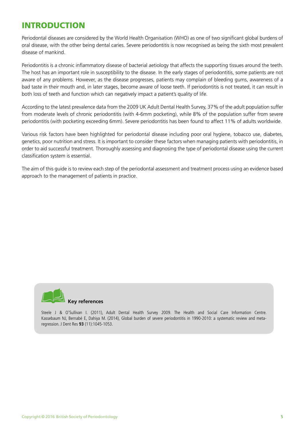## INTRODUCTION

Periodontal diseases are considered by the World Health Organisation (WHO) as one of two significant global burdens of oral disease, with the other being dental caries. Severe periodontitis is now recognised as being the sixth most prevalent disease of mankind.

Periodontitis is a chronic inflammatory disease of bacterial aetiology that affects the supporting tissues around the teeth. The host has an important role in susceptibility to the disease. In the early stages of periodontitis, some patients are not aware of any problems. However, as the disease progresses, patients may complain of bleeding gums, awareness of a bad taste in their mouth and, in later stages, become aware of loose teeth. If periodontitis is not treated, it can result in both loss of teeth and function which can negatively impact a patient's quality of life.

According to the latest prevalence data from the 2009 UK Adult Dental Health Survey, 37% of the adult population suffer from moderate levels of chronic periodontitis (with 4-6mm pocketing), while 8% of the population suffer from severe periodontitis (with pocketing exceeding 6mm). Severe periodontitis has been found to affect 11% of adults worldwide.

Various risk factors have been highlighted for periodontal disease including poor oral hygiene, tobacco use, diabetes, genetics, poor nutrition and stress. It is important to consider these factors when managing patients with periodontitis, in order to aid successful treatment. Thoroughly assessing and diagnosing the type of periodontal disease using the current classification system is essential.

The aim of this guide is to review each step of the periodontal assessment and treatment process using an evidence based approach to the management of patients in practice.



 **Key references**

Steele J & O'Sullivan I. (2011), Adult Dental Health Survey 2009. The Health and Social Care Information Centre. Kassebaum NJ, Bernabé E, Dahiya M. (2014), Global burden of severe periodontitis in 1990-2010: a systematic review and metaregression. J Dent Res **93** (11):1045-1053.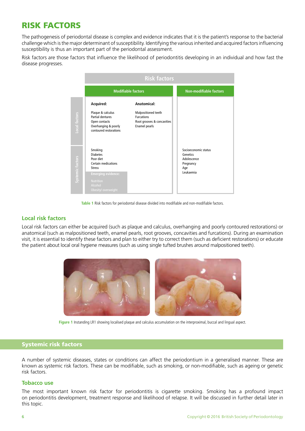## RISK FACTORS

The pathogenesis of periodontal disease is complex and evidence indicates that it is the patient's response to the bacterial challenge which is the major determinant of susceptibility. Identifying the various inherited and acquired factors influencing susceptibility is thus an important part of the periodontal assessment.

Risk factors are those factors that influence the likelihood of periodontitis developing in an individual and how fast the disease progresses.



**Table 1** Risk factors for periodontal disease divided into modifiable and non-modifiable factors.

#### **Local risk factors**

Local risk factors can either be acquired (such as plaque and calculus, overhanging and poorly contoured restorations) or anatomical (such as malpositioned teeth, enamel pearls, root grooves, concavities and furcations). During an examination visit, it is essential to identify these factors and plan to either try to correct them (such as deficient restorations) or educate the patient about local oral hygiene measures (such as using single tufted brushes around malpositioned teeth).



**Figure 1** Instanding LR1 showing localised plaque and calculus accumulation on the interproximal, buccal and lingual aspect.

#### Systemic risk factors

A number of systemic diseases, states or conditions can affect the periodontium in a generalised manner. These are known as systemic risk factors. These can be modifiable, such as smoking, or non-modifiable, such as ageing or genetic risk factors.

#### **Tobacco use**

The most important known risk factor for periodontitis is cigarette smoking. Smoking has a profound impact on periodontitis development, treatment response and likelihood of relapse. It will be discussed in further detail later in this topic.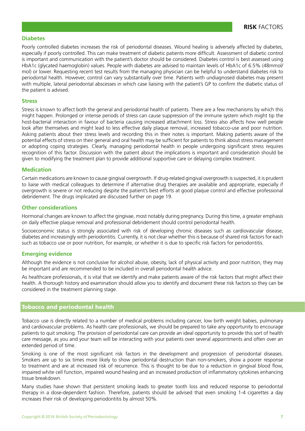#### **Diabetes**

Poorly controlled diabetes increases the risk of periodontal diseases. Wound healing is adversely affected by diabetes, especially if poorly controlled. This can make treatment of diabetic patients more difficult. Assessment of diabetic control is important and communication with the patient's doctor should be considered. Diabetes control is best assessed using HbA1c (glycated haemoglobin) values. People with diabetes are advised to maintain levels of HbA1c of 6.5% (48mmol/ mol) or lower. Requesting recent test results from the managing physician can be helpful to understand diabetes risk to periodontal health. However, control can vary substantially over time. Patients with undiagnosed diabetes may present with multiple, lateral periodontal abscesses in which case liaising with the patient's GP to confirm the diabetic status of the patient is advised.

#### **Stress**

Stress is known to affect both the general and periodontal health of patients. There are a few mechanisms by which this might happen. Prolonged or intense periods of stress can cause suppression of the immune system which might tip the host-bacterial interaction in favour of bacteria causing increased attachment loss. Stress also affects how well people look after themselves and might lead to less effective daily plaque removal, increased tobacco-use and poor nutrition. Asking patients about their stress levels and recording this in their notes is important. Making patients aware of the potential effects of stress on their general and oral health may be sufficient for patients to think about stress management or adopting coping strategies. Clearly, managing periodontal health in people undergoing significant stress requires recognition of this factor. Discussion with the patient about the implications is important and consideration should be given to modifying the treatment plan to provide additional supportive care or delaying complex treatment.

#### **Medication**

Certain medications are known to cause gingival overgrowth. If drug-related gingival overgrowth is suspected, it is prudent to liaise with medical colleagues to determine if alternative drug therapies are available and appropriate, especially if overgrowth is severe or not reducing despite the patient's best efforts at good plaque control and effective professional debridement. The drugs implicated are discussed further on page 19.

#### **Other considerations**

Hormonal changes are known to affect the gingivae, most notably during pregnancy. During this time, a greater emphasis on daily effective plaque removal and professional debridement should control periodontal health.

Socioeconomic status is strongly associated with risk of developing chronic diseases such as cardiovascular disease, diabetes and increasingly with periodontitis. Currently, it is not clear whether this is because of shared risk factors for each such as tobacco use or poor nutrition, for example, or whether it is due to specific risk factors for periodontitis.

#### **Emerging evidence**

Although the evidence is not conclusive for alcohol abuse, obesity, lack of physical activity and poor nutrition, they may be important and are recommended to be included in overall periodontal health advice.

As healthcare professionals, it is vital that we identify and make patients aware of the risk factors that might affect their health. A thorough history and examination should allow you to identify and document these risk factors so they can be considered in the treatment planning stage.

#### Tobacco and periodontal health

Tobacco use is directly related to a number of medical problems including cancer, low birth weight babies, pulmonary and cardiovascular problems. As health care professionals, we should be prepared to take any opportunity to encourage patients to quit smoking. The provision of periodontal care can provide an ideal opportunity to provide this sort of health care message, as you and your team will be interacting with your patients over several appointments and often over an extended period of time.

Smoking is one of the most significant risk factors in the development and progression of periodontal diseases. Smokers are up to six times more likely to show periodontal destruction than non-smokers, show a poorer response to treatment and are at increased risk of recurrence. This is thought to be due to a reduction in gingival blood flow, impaired white cell function, impaired wound healing and an increased production of inflammatory cytokines enhancing tissue breakdown.

Many studies have shown that persistent smoking leads to greater tooth loss and reduced response to periodontal therapy in a dose-dependent fashion. Therefore, patients should be advised that even smoking 1-4 cigarettes a day increases their risk of developing periodontitis by almost 50%.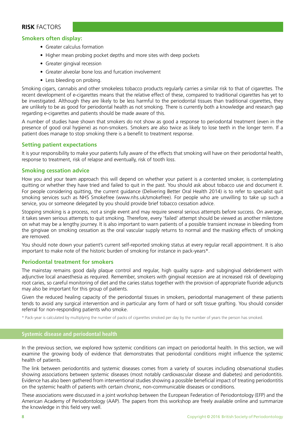#### **RISK** FACTORS

#### **Smokers often display:**

- Greater calculus formation
- Higher mean probing pocket depths and more sites with deep pockets
- Greater gingival recession
- Greater alveolar bone loss and furcation involvement
- Less bleeding on probing.

Smoking cigars, cannabis and other smokeless tobacco products regularly carries a similar risk to that of cigarettes. The recent development of e-cigarettes means that the relative effect of these, compared to traditional cigarettes has yet to be investigated. Although they are likely to be less harmful to the periodontal tissues than traditional cigarettes, they are unlikely to be as good for periodontal health as not smoking. There is currently both a knowledge and research gap regarding e-cigarettes and patients should be made aware of this.

A number of studies have shown that smokers do not show as good a response to periodontal treatment (even in the presence of good oral hygiene) as non-smokers. Smokers are also twice as likely to lose teeth in the longer term. If a patient does manage to stop smoking there is a benefit to treatment response.

#### **Setting patient expectations**

It is your responsibility to make your patients fully aware of the effects that smoking will have on their periodontal health, response to treatment, risk of relapse and eventually, risk of tooth loss.

#### **Smoking cessation advice**

How you and your team approach this will depend on whether your patient is a contented smoker, is contemplating quitting or whether they have tried and failed to quit in the past. You should ask about tobacco use and document it. For people considering quitting, the current guidance (Delivering Better Oral Health 2014) is to refer to specialist quit smoking services such as NHS Smokefree (www.nhs.uk/smokefree). For people who are unwilling to take up such a service, you or someone delegated by you should provide brief tobacco cessation advice.

Stopping smoking is a process, not a single event and may require several serious attempts before success. On average, it takes seven serious attempts to quit smoking. Therefore, every 'failed' attempt should be viewed as another milestone on what may be a lengthy journey. It is also important to warn patients of a possible transient increase in bleeding from the gingivae on smoking cessation as the oral vascular supply returns to normal and the masking effects of smoking are removed.

You should note down your patient's current self-reported smoking status at every regular recall appointment. It is also important to make note of the historic burden of smoking for instance in pack-years\*.

#### **Periodontal treatment for smokers**

The mainstay remains good daily plaque control and regular, high quality supra- and subgingival debridement with adjunctive local anaesthesia as required. Remember, smokers with gingival recession are at increased risk of developing root caries, so careful monitoring of diet and the caries status together with the provision of appropriate fluoride adjuncts may also be important for this group of patients.

Given the reduced healing capacity of the periodontal tissues in smokers, periodontal management of these patients tends to avoid any surgical intervention and in particular any form of hard or soft tissue grafting. You should consider referral for non-responding patients who smoke.

\* Pack-year is calculated by multiplying the number of packs of cigarettes smoked per day by the number of years the person has smoked.

#### **Systemic disease and periodontal health**

In the previous section, we explored how systemic conditions can impact on periodontal health. In this section, we will examine the growing body of evidence that demonstrates that periodontal conditions might influence the systemic health of patients.

The link between periodontitis and systemic diseases comes from a variety of sources including observational studies showing associations between systemic diseases (most notably cardiovascular disease and diabetes) and periodontitis. Evidence has also been gathered from interventional studies showing a possible beneficial impact of treating periodontitis on the systemic health of patients with certain chronic, non-communicable diseases or conditions.

These associations were discussed in a joint workshop between the European Federation of Periodontology (EFP) and the American Academy of Periodontology (AAP). The papers from this workshop are freely available online and summarize the knowledge in this field very well.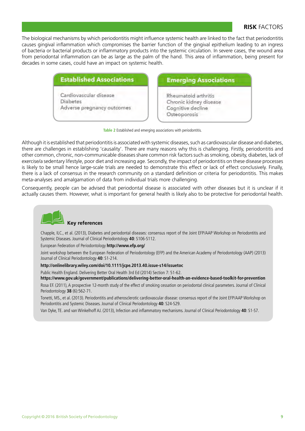#### **RISK** FACTORS

The biological mechanisms by which periodontitis might influence systemic health are linked to the fact that periodontitis causes gingival inflammation which compromises the barrier function of the gingival epithelium leading to an ingress of bacteria or bacterial products or inflammatory products into the systemic circulation. In severe cases, the wound area from periodontal inflammation can be as large as the palm of the hand. This area of inflammation, being present for decades in some cases, could have an impact on systemic health.

#### **Established Associations**

Cardiovascular disease **Diabetes** Adverse pregnancy outcomes

#### **Emerging Associations**

Rheumatoid arthritis Chronic kidney disease Cognitive decline Osteoporosis

**Table 2** Established and emerging associations with periodontitis.

Although it is established that periodontitis is associated with systemic diseases, such as cardiovascular disease and diabetes, there are challenges in establishing 'causality'. There are many reasons why this is challenging. Firstly, periodontitis and other common, chronic, non-communicable diseases share common risk factors such as smoking, obesity, diabetes, lack of exercise/a sedentary lifestyle, poor diet and increasing age. Secondly, the impact of periodontitis on these disease processes is likely to be small hence large-scale trials are needed to demonstrate this effect or lack of effect conclusively. Finally, there is a lack of consensus in the research community on a standard definition or criteria for periodontitis. This makes meta-analyses and amalgamation of data from individual trials more challenging.

Consequently, people can be advised that periodontal disease is associated with other diseases but it is unclear if it actually causes them. However, what is important for general health is likely also to be protective for periodontal health.



#### **Key references**

Chapple, ILC., et al. (2013), Diabetes and periodontal diseases: consensus report of the Joint EFP/AAP Workshop on Periodontitis and Systemic Diseases. Journal of Clinical Periodontology **40**: S106-S112.

European Federation of Periodontology **http://www.efp.org/**

Joint workshop between the European Federation of Periodontology (EFP) and the American Academy of Periodontology (AAP) (2013) Journal of Clinical Periodontology **40**: S1-214.

#### **http://onlinelibrary.wiley.com/doi/10.1111/jcpe.2013.40.issue-s14/issuetoc**

Public Health England. Delivering Better Oral Health 3rd Ed (2014) Section 7: 51-62.

**https://www.gov.uk/government/publications/delivering-better-oral-health-an-evidence-based-toolkit-for-prevention**

Rosa EF. (2011), A prospective 12-month study of the effect of smoking cessation on periodontal clinical parameters. Journal of Clinical Periodontology **38** (6):562-71.

Tonetti, MS., et al. (2013). Periodontitis and atherosclerotic cardiovascular disease: consensus report of the Joint EFP/AAP Workshop on Periodontitis and Systemic Diseases. Journal of Clinical Periodontology **40**: S24-S29.

Van Dyke, TE. and van Winkelhoff AJ. (2013), Infection and inflammatory mechanisms. Journal of Clinical Periodontology **40**: S1-S7.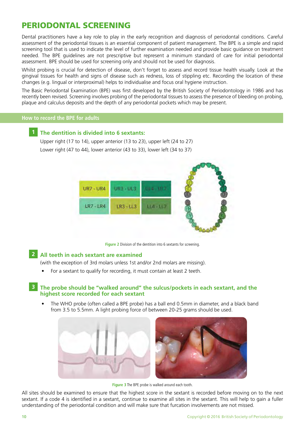## PERIODONTAL SCREENING

Dental practitioners have a key role to play in the early recognition and diagnosis of periodontal conditions. Careful assessment of the periodontal tissues is an essential component of patient management. The BPE is a simple and rapid screening tool that is used to indicate the level of further examination needed and provide basic guidance on treatment needed. The BPE guidelines are not prescriptive but represent a minimum standard of care for initial periodontal assessment. BPE should be used for screening only and should not be used for diagnosis.

Whilst probing is crucial for detection of disease, don't forget to assess and record tissue health visually. Look at the gingival tissues for health and signs of disease such as redness, loss of stippling etc. Recording the location of these changes (e.g. lingual or interproximal) helps to individualise and focus oral hygiene instruction.

The Basic Periodontal Examination (BPE) was first developed by the British Society of Periodontology in 1986 and has recently been revised. Screening involves probing of the periodontal tissues to assess the presence of bleeding on probing, plaque and calculus deposits and the depth of any periodontal pockets which may be present.

#### **How to record the BPE for adults**

#### **1 The dentition is divided into 6 sextants:**

Upper right (17 to 14), upper anterior (13 to 23), upper left (24 to 27) Lower right (47 to 44), lower anterior (43 to 33), lower left (34 to 37)



**Figure 2** Division of the dentition into 6 sextants for screening.

#### **2 All teeth in each sextant are examined**

(with the exception of 3rd molars unless 1st and/or 2nd molars are missing).

• For a sextant to qualify for recording, it must contain at least 2 teeth.

#### **3 The probe should be "walked around" the sulcus/pockets in each sextant, and the highest score recorded for each sextant**

• The WHO probe (often called a BPE probe) has a ball end 0.5mm in diameter, and a black band from 3.5 to 5.5mm. A light probing force of between 20-25 grams should be used.



**Figure 3** The BPE probe is walked around each tooth.

All sites should be examined to ensure that the highest score in the sextant is recorded before moving on to the next sextant. If a code 4 is identified in a sextant, continue to examine all sites in the sextant. This will help to gain a fuller understanding of the periodontal condition and will make sure that furcation involvements are not missed.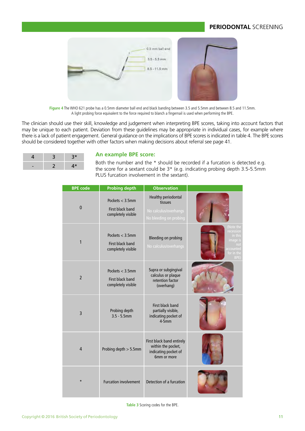#### **PERIODONTAL** SCREENING

| 0.5 mm ball and                   |  |
|-----------------------------------|--|
| $3.5 - 5.5$ mm<br>$8.5 - 11.5$ mm |  |
|                                   |  |

**Figure 4** The WHO 621 probe has a 0.5mm diameter ball end and black banding between 3.5 and 5.5mm and between 8.5 and 11.5mm. A light probing force equivalent to the force required to blanch a fingernail is used when performing the BPE.

The clinician should use their skill, knowledge and judgement when interpreting BPE scores, taking into account factors that may be unique to each patient. Deviation from these guidelines may be appropriate in individual cases, for example where there is a lack of patient engagement. General guidance on the implications of BPE scores is indicated in table 4. The BPE scores should be considered together with other factors when making decisions about referral see page 41.

| 3 | $3*$ |
|---|------|
|   | 4*   |

#### **An example BPE score:**

Both the number and the  $*$  should be recorded if a furcation is detected e.g.<br>the scene for a sextant sould be  $2*$  (e.g. indicating probing donth  $2.5 \times 5 \text{ mm}$ ) the score for a sextant could be  $3*$  (e.g. indicating probing depth 3.5-5.5mm) PLUS furcation involvement in the sextant).

| <b>BPE</b> code | <b>Probing depth</b>                                        | <b>Observation</b>                                                                       |                                                                                                |
|-----------------|-------------------------------------------------------------|------------------------------------------------------------------------------------------|------------------------------------------------------------------------------------------------|
| $\mathbf{0}$    | Pockets $<$ 3.5mm<br>First black band<br>completely visible | <b>Healthy periodontal</b><br>tissues<br>No calculus/overhangs<br>No bleeding on probing |                                                                                                |
| 1               | Pockets $<$ 3.5mm<br>First black band<br>completely visible | <b>Bleeding on probing</b><br>No calculus/overhangs                                      | (Note the<br>recession<br>in this<br><i>image is</i><br>not<br>accounted<br>for in the<br>BPE) |
| $\overline{2}$  | Pockets $<$ 3.5mm<br>First black band<br>completely visible | Supra or subgingival<br>calculus or plaque<br>retention factor<br>(overhang)             |                                                                                                |
| 3               | Probing depth<br>$3.5 - 5.5$ mm                             | First black band<br>partially visible,<br>indicating pocket of<br>$4-5mm$                |                                                                                                |
| 4               | Probing depth > 5.5mm                                       | First black band entirely<br>within the pocket,<br>indicating pocket of<br>6mm or more   |                                                                                                |
| $\star$         | <b>Furcation involvement</b>                                | Detection of a furcation                                                                 |                                                                                                |

**Table 3** Scoring codes for the BPE.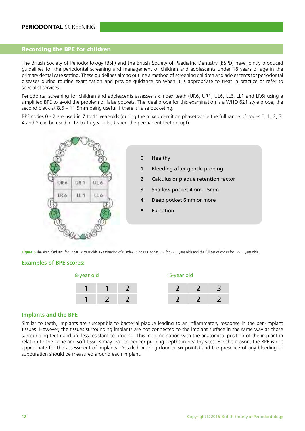#### Recording the BPE for children

The British Society of Periodontology (BSP) and the British Society of Paediatric Dentistry (BSPD) have jointly produced guidelines for the periodontal screening and management of children and adolescents under 18 years of age in the primary dental care setting. These guidelines aim to outline a method of screening children and adolescents for periodontal diseases during routine examination and provide guidance on when it is appropriate to treat in practice or refer to specialist services.

Periodontal screening for children and adolescents assesses six index teeth (UR6, UR1, UL6, LL6, LL1 and LR6) using a simplified BPE to avoid the problem of false pockets. The ideal probe for this examination is a WHO 621 style probe, the second black at 8.5 – 11.5mm being useful if there is false pocketing.

BPE codes 0 - 2 are used in 7 to 11 year-olds (during the mixed dentition phase) while the full range of codes 0, 1, 2, 3, 4 and \* can be used in 12 to 17 year-olds (when the permanent teeth erupt).



Figure 5 The simplified BPE for under 18 year olds. Examination of 6 index using BPE codes 0-2 for 7-11 year olds and the full set of codes for 12-17 year olds.

#### **Examples of BPE scores:**



#### **Implants and the BPE**

Similar to teeth, implants are susceptible to bacterial plaque leading to an inflammatory response in the peri-implant tissues. However, the tissues surrounding implants are not connected to the implant surface in the same way as those surrounding teeth and are less resistant to probing. This in combination with the anatomical position of the implant in relation to the bone and soft tissues may lead to deeper probing depths in healthy sites. For this reason, the BPE is not appropriate for the assessment of implants. Detailed probing (four or six points) and the presence of any bleeding or suppuration should be measured around each implant.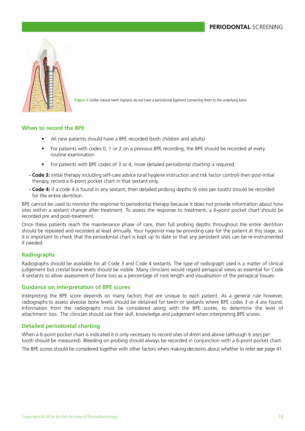

**Figure 6** Unlike natural teeth implants do not have a periodontal ligament connecting them to the underlying bone.

#### **When to record the BPE**

- All new patients should have a BPE recorded (both children and adults)
- For patients with codes 0, 1 or 2 on a previous BPE recording, the BPE should be recorded at every routine examination
- For patients with BPE codes of 3 or 4, more detailed periodontal charting is required.
- **Code 3:** initial therapy including self-care advice (oral hygiene instruction and risk factor control) then post-initial therapy, record a 6-point pocket chart in that sextant only.
- **Code 4:** if a code 4 is found in any sextant, then detailed probing depths (6 sites per tooth) should be recorded for the entire dentition.

BPE cannot be used to monitor the response to periodontal therapy because it does not provide information about how sites within a sextant change after treatment. To assess the response to treatment, a 6-point pocket chart should be recorded pre and post-treatment.

Once these patients reach the maintenance phase of care, then full probing depths throughout the entire dentition should be repeated and recorded at least annually. Your hygienist may be providing care for the patient at this stage, so it is important to check that the periodontal chart is kept up to date so that any persistent sites can be re-instrumented if needed.

#### **Radiographs**

Radiographs should be available for all Code 3 and Code 4 sextants. The type of radiograph used is a matter of clinical judgement but crestal bone levels should be visible. Many clinicians would regard periapical views as essential for Code 4 sextants to allow assessment of bone loss as a percentage of root length and visualisation of the periapical tissues.

#### **Guidance on interpretation of BPE scores**

Interpreting the BPE score depends on many factors that are unique to each patient. As a general rule however, radiographs to assess alveolar bone levels should be obtained for teeth or sextants where BPE codes 3 or 4 are found. Information from the radiographs must be considered along with the BPE scores, to determine the level of attachment loss. The clinician should use their skill, knowledge and judgement when interpreting BPE scores.

#### **Detailed periodontal charting**

When a 6-point pocket chart is indicated it is only necessary to record sites of 4mm and above (although 6 sites per tooth should be measured). Bleeding on probing should always be recorded in conjunction with a 6-point pocket chart.

The BPE scores should be considered together with other factors when making decisions about whether to refer see page 41.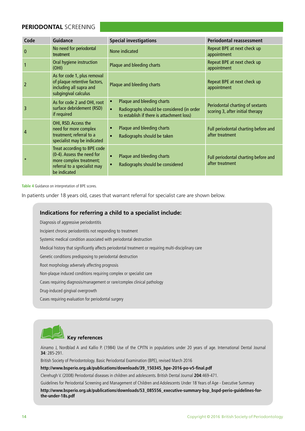#### **PERIODONTAL** SCREENING

| Code         | <b>Guidance</b>                                                                                                                      | <b>Special investigations</b>                                                                                                                   | <b>Periodontal reassessment</b>                                      |
|--------------|--------------------------------------------------------------------------------------------------------------------------------------|-------------------------------------------------------------------------------------------------------------------------------------------------|----------------------------------------------------------------------|
| $\mathbf{0}$ | No need for periodontal<br>treatment                                                                                                 | None indicated                                                                                                                                  | Repeat BPE at next check up<br>appointment                           |
|              | Oral hygiene instruction<br>(OHI)                                                                                                    | Plaque and bleeding charts                                                                                                                      | Repeat BPE at next check up<br>appointment                           |
|              | As for code 1, plus removal<br>of plaque retentive factors,<br>including all supra and<br>subgingival calculus                       | Plaque and bleeding charts                                                                                                                      | Repeat BPE at next check up<br>appointment                           |
| 3            | As for code 2 and OHI, root<br>surface debridement (RSD)<br>if required                                                              | Plaque and bleeding charts<br>$\bullet$<br>Radiographs should be considered (in order<br>$\bullet$<br>to establish if there is attachment loss) | Periodontal charting of sextants<br>scoring 3, after initial therapy |
| 4            | OHI, RSD. Access the<br>need for more complex<br>treatment; referral to a<br>specialist may be indicated                             | Plaque and bleeding charts<br>$\bullet$<br>Radiographs should be taken<br>$\bullet$                                                             | Full periodontal charting before and<br>after treatment              |
| $\star$      | Treat according to BPE code<br>(0-4). Assess the need for<br>more complex treatment;<br>referral to a specialist may<br>be indicated | Plaque and bleeding charts<br>$\bullet$<br>Radiographs should be considered<br>$\bullet$                                                        | Full periodontal charting before and<br>after treatment              |

**Table 4** Guidance on interpretation of BPE scores.

In patients under 18 years old, cases that warrant referral for specialist care are shown below.

#### **Indications for referring a child to a specialist include:**

Diagnosis of aggressive periodontitis

Incipient chronic periodontitis not responding to treatment

Systemic medical condition associated with periodontal destruction

Medical history that significantly affects periodontal treatment or requiring multi-disciplinary care

Genetic conditions predisposing to periodontal destruction

Root morphology adversely affecting prognosis

Non-plaque induced conditions requiring complex or specialist care

Cases requiring diagnosis/management or rare/complex clinical pathology

Drug-induced gingival overgrowth

Cases requiring evaluation for periodontal surgery



### **Key references**

Ainamo J, Nordblad A and Kallio P. (1984) Use of the CPITN in populations under 20 years of age. International Dental Journal **34**: 285-291.

British Society of Periodontology. Basic Periodontal Examination (BPE), revised March 2016

**http://www.bsperio.org.uk/publications/downloads/39\_150345\_bpe-2016-po-v5-final.pdf**

Clerehugh V. (2008) Periodontal diseases in children and adolescents. British Dental Journal **204**:469-471.

Guidelines for Periodontal Screening and Management of Children and Adolescents Under 18 Years of Age - Executive Summary

**http://www.bsperio.org.uk/publications/downloads/53\_085556\_executive-summary-bsp\_bspd-perio-guidelines-forthe-under-18s.pdf**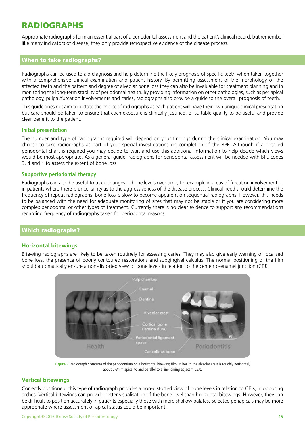## RADIOGRAPHS

Appropriate radiographs form an essential part of a periodontal assessment and the patient's clinical record, but remember like many indicators of disease, they only provide retrospective evidence of the disease process.

#### When to take radiographs?

Radiographs can be used to aid diagnosis and help determine the likely prognosis of specific teeth when taken together with a comprehensive clinical examination and patient history. By permitting assessment of the morphology of the affected teeth and the pattern and degree of alveolar bone loss they can also be invaluable for treatment planning and in monitoring the long-term stability of periodontal health. By providing information on other pathologies, such as periapical pathology, pulpal/furcation involvements and caries, radiographs also provide a guide to the overall prognosis of teeth.

This guide does not aim to dictate the choice of radiographs as each patient will have their own unique clinical presentation but care should be taken to ensure that each exposure is clinically justified, of suitable quality to be useful and provide clear benefit to the patient.

#### **Initial presentation**

The number and type of radiographs required will depend on your findings during the clinical examination. You may choose to take radiographs as part of your special investigations on completion of the BPE. Although if a detailed periodontal chart is required you may decide to wait and use this additional information to help decide which views would be most appropriate. As a general guide, radiographs for periodontal assessment will be needed with BPE codes 3, 4 and \* to assess the extent of bone loss.

#### **Supportive periodontal therapy**

Radiographs can also be useful to track changes in bone levels over time, for example in areas of furcation involvement or in patients where there is uncertainty as to the aggressiveness of the disease process. Clinical need should determine the frequency of repeat radiographs. Bone loss is slow to become apparent on sequential radiographs. However, this needs to be balanced with the need for adequate monitoring of sites that may not be stable or if you are considering more complex periodontal or other types of treatment. Currently there is no clear evidence to support any recommendations regarding frequency of radiographs taken for periodontal reasons.

#### Which radiographs?

#### **Horizontal bitewings**

Bitewing radiographs are likely to be taken routinely for assessing caries. They may also give early warning of localised bone loss, the presence of poorly contoured restorations and subgingival calculus. The normal positioning of the film should automatically ensure a non-distorted view of bone levels in relation to the cemento-enamel junction (CEJ).



**Figure 7** Radiographic features of the periodontium on a horizontal bitewing film. In health the alveolar crest is roughly horizontal, about 2-3mm apical to and parallel to a line joining adjacent CEJs.

#### **Vertical bitewings**

Correctly positioned, this type of radiograph provides a non-distorted view of bone levels in relation to CEJs, in opposing arches. Vertical bitewings can provide better visualisation of the bone level than horizontal bitewings. However, they can be difficult to position accurately in patients especially those with more shallow palates. Selected periapicals may be more appropriate where assessment of apical status could be important.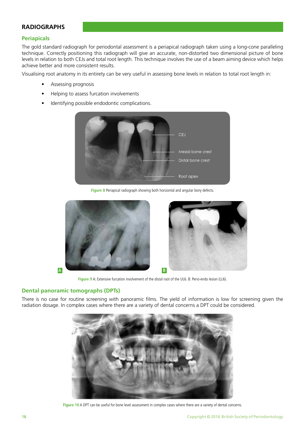#### **RADIOGRAPHS**

#### **Periapicals**

The gold standard radiograph for periodontal assessment is a periapical radiograph taken using a long-cone paralleling technique. Correctly positioning this radiograph will give an accurate, non-distorted two dimensional picture of bone levels in relation to both CEJs and total root length. This technique involves the use of a beam aiming device which helps achieve better and more consistent results.

Visualising root anatomy in its entirety can be very useful in assessing bone levels in relation to total root length in:

- Assessing prognosis
- Helping to assess furcation involvements
- Identifying possible endodontic complications.



**Figure 8** Periapical radiograph showing both horizontal and angular bony defects.





**Figure 9** A: Extensive furcation involvement of the distal root of the UL6. B: Perio-endo lesion (LL6).

#### **Dental panoramic tomographs (DPTs)**

There is no case for routine screening with panoramic films. The yield of information is low for screening given the radiation dosage. In complex cases where there are a variety of dental concerns a DPT could be considered.



Figure 10 A DPT can be useful for bone level assessment in complex cases where there are a variety of dental concerns.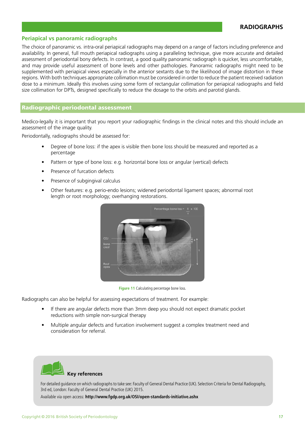#### **Periapical vs panoramic radiographs**

The choice of panoramic vs. intra-oral periapical radiographs may depend on a range of factors including preference and availability. In general, full mouth periapical radiographs using a paralleling technique, give more accurate and detailed assessment of periodontal bony defects. In contrast, a good quality panoramic radiograph is quicker, less uncomfortable, and may provide useful assessment of bone levels and other pathologies. Panoramic radiographs might need to be supplemented with periapical views especially in the anterior sextants due to the likelihood of image distortion in these regions. With both techniques appropriate collimation must be considered in order to reduce the patient received radiation dose to a minimum. Ideally this involves using some form of rectangular collimation for periapical radiographs and field size collimation for DPTs, designed specifically to reduce the dosage to the orbits and parotid glands.

#### Radiographic periodontal assessment

Medico-legally it is important that you report your radiographic findings in the clinical notes and this should include an assessment of the image quality.

Periodontally, radiographs should be assessed for:

- Degree of bone loss: if the apex is visible then bone loss should be measured and reported as a percentage
- Pattern or type of bone loss: e.g. horizontal bone loss or angular (vertical) defects
- Presence of furcation defects
- Presence of subgingival calculus
- Other features: e.g. perio-endo lesions; widened periodontal ligament spaces; abnormal root length or root morphology; overhanging restorations.



**Figure 11** Calculating percentage bone loss.

Radiographs can also be helpful for assessing expectations of treatment. For example:

- If there are angular defects more than 3mm deep you should not expect dramatic pocket reductions with simple non-surgical therapy
- Multiple angular defects and furcation involvement suggest a complex treatment need and consideration for referral.



#### **Key references**

For detailed guidance on which radiographs to take see: Faculty of General Dental Practice (UK). Selection Criteria for Dental Radiography, 3rd ed, London: Faculty of General Dental Practice (UK) 2015.

Available via open access: **http://www.fgdp.org.uk/OSI/open-standards-initiative.ashx**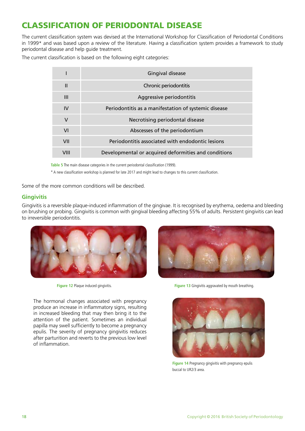## CLASSIFICATION OF PERIODONTAL DISEASE

The current classification system was devised at the International Workshop for Classification of Periodontal Conditions in 1999\* and was based upon a review of the literature. Having a classification system provides a framework to study periodontal disease and help guide treatment.

The current classification is based on the following eight categories:

|              | Gingival disease                                     |
|--------------|------------------------------------------------------|
| $\mathbf{H}$ | Chronic periodontitis                                |
| Ш            | Aggressive periodontitis                             |
| IV           | Periodontitis as a manifestation of systemic disease |
| $\vee$       | Necrotising periodontal disease                      |
| VI           | Abscesses of the periodontium                        |
| VII          | Periodontitis associated with endodontic lesions     |
| VIII         | Developmental or acquired deformities and conditions |

**Table 5** The main disease categories in the current periodontal classification (1999).

\* A new classification workshop is planned for late 2017 and might lead to changes to this current classification.

Some of the more common conditions will be described.

#### **Gingivitis**

Gingivitis is a reversible plaque-induced inflammation of the gingivae. It is recognised by erythema, oedema and bleeding on brushing or probing. Gingivitis is common with gingival bleeding affecting 55% of adults. Persistent gingivitis can lead to irreversible periodontitis.



The hormonal changes associated with pregnancy produce an increase in inflammatory signs, resulting in increased bleeding that may then bring it to the attention of the patient. Sometimes an individual papilla may swell sufficiently to become a pregnancy epulis. The severity of pregnancy gingivitis reduces after parturition and reverts to the previous low level of inflammation.



**Figure 12** Plaque induced gingivitis. **Figure 13** Gingivitis aggravated by mouth breathing.



**Figure 14** Pregnancy gingivitis with pregnancy epulis buccal to UR2/3 area.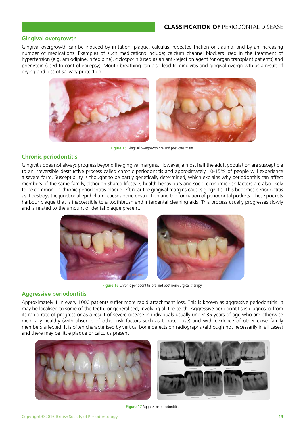#### **CLASSIFICATION OF** PERIODONTAL DISEASE

#### **Gingival overgrowth**

Gingival overgrowth can be induced by irritation, plaque, calculus, repeated friction or trauma, and by an increasing number of medications. Examples of such medications include; calcium channel blockers used in the treatment of hypertension (e.g. amlodipine, nifedipine), ciclosporin (used as an anti-rejection agent for organ transplant patients) and phenytoin (used to control epilepsy). Mouth breathing can also lead to gingivitis and gingival overgrowth as a result of drying and loss of salivary protection.



**Figure 15** Gingival overgrowth pre and post-treatment.

#### **Chronic periodontitis**

Gingivitis does not always progress beyond the gingival margins. However, almost half the adult population are susceptible to an irreversible destructive process called chronic periodontitis and approximately 10-15% of people will experience a severe form. Susceptibility is thought to be partly genetically determined, which explains why periodontitis can affect members of the same family, although shared lifestyle, health behaviours and socio-economic risk factors are also likely to be common. In chronic periodontitis plaque left near the gingival margins causes gingivitis. This becomes periodontitis as it destroys the junctional epithelium, causes bone destruction and the formation of periodontal pockets. These pockets harbour plaque that is inaccessible to a toothbrush and interdental cleaning aids. This process usually progresses slowly and is related to the amount of dental plaque present.



**Figure 16** Chronic periodontitis pre and post non-surgical therapy.

#### **Aggressive periodontitis**

Approximately 1 in every 1000 patients suffer more rapid attachment loss. This is known as aggressive periodontitis. It may be localised to some of the teeth, or generalised, involving all the teeth. Aggressive periodontitis is diagnosed from its rapid rate of progress or as a result of severe disease in individuals usually under 35 years of age who are otherwise medically healthy (with absence of other risk factors such as tobacco use) and with evidence of other close family members affected. It is often characterised by vertical bone defects on radiographs (although not necessarily in all cases) and there may be little plaque or calculus present.





**Figure 17** Aggressive periodontitis.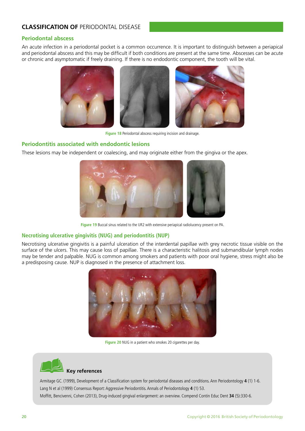#### **CLASSIFICATION OF** PERIODONTAL DISEASE

#### **Periodontal abscess**

An acute infection in a periodontal pocket is a common occurrence. It is important to distinguish between a periapical and periodontal abscess and this may be difficult if both conditions are present at the same time. Abscesses can be acute or chronic and asymptomatic if freely draining. If there is no endodontic component, the tooth will be vital.



**Figure 18** Periodontal abscess requiring incision and drainage.

#### **Periodontitis associated with endodontic lesions**

These lesions may be independent or coalescing, and may originate either from the gingiva or the apex.



**Figure 19** Buccal sinus related to the UR2 with extensive periapical radiolucency present on PA.

#### **Necrotising ulcerative gingivitis (NUG) and periodontitis (NUP)**

Necrotising ulcerative gingivitis is a painful ulceration of the interdental papillae with grey necrotic tissue visible on the surface of the ulcers. This may cause loss of papillae. There is a characteristic halitosis and submandibular lymph nodes may be tender and palpable. NUG is common among smokers and patients with poor oral hygiene, stress might also be a predisposing cause. NUP is diagnosed in the presence of attachment loss.



**Figure 20** NUG in a patient who smokes 20 cigarettes per day.



#### **Key references**

Armitage GC. (1999), Development of a Classification system for periodontal diseases and conditions. Ann Periodontology **4** (1) 1-6. Lang N et al (1999) Consensus Report: Aggressive Periodontitis. Annals of Periodontology **4** (1) 53. Moffitt, Bencivenni, Cohen (2013), Drug-induced gingival enlargement: an overview. Compend Contin Educ Dent **34** (5):330-6.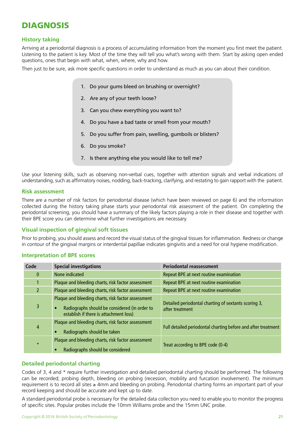## DIAGNOSIS

#### **History taking**

Arriving at a periodontal diagnosis is a process of accumulating information from the moment you first meet the patient. Listening to the patient is key. Most of the time they will tell you what's wrong with them. Start by asking open ended questions, ones that begin with what, when, where, why and how.

Then just to be sure, ask more specific questions in order to understand as much as you can about their condition.

- 1. Do your gums bleed on brushing or overnight?
- 2. Are any of your teeth loose?
- 3. Can you chew everything you want to?
- 4. Do you have a bad taste or smell from your mouth?
- 5. Do you suffer from pain, swelling, gumboils or blisters?
- 6. Do you smoke?
- 7. Is there anything else you would like to tell me?

Use your listening skills, such as observing non-verbal cues, together with attention signals and verbal indications of understanding, such as affirmatory noises, nodding, back-tracking, clarifying, and restating to gain rapport with the patient.

#### **Risk assessment**

There are a number of risk factors for periodontal disease (which have been reviewed on page 6) and the information collected during the history taking phase starts your periodontal risk assessment of the patient. On completing the periodontal screening, you should have a summary of the likely factors playing a role in their disease and together with their BPE score you can determine what further investigations are necessary.

#### **Visual inspection of gingival soft tissues**

Prior to probing, you should assess and record the visual status of the gingival tissues for inflammation. Redness or change in contour of the gingival margins or interdental papillae indicates gingivitis and a need for oral hygiene modification.

#### **Interpretation of BPE scores**

| Code           | <b>Special investigations</b>                                                                                                                              | <b>Periodontal reassessment</b>                                         |
|----------------|------------------------------------------------------------------------------------------------------------------------------------------------------------|-------------------------------------------------------------------------|
| $\mathbf{0}$   | None indicated                                                                                                                                             | Repeat BPE at next routine examination                                  |
|                | Plaque and bleeding charts, risk factor assessment                                                                                                         | Repeat BPE at next routine examination                                  |
| $\overline{2}$ | Plaque and bleeding charts, risk factor assessment                                                                                                         | Repeat BPE at next routine examination                                  |
| 3              | Plaque and bleeding charts, risk factor assessment<br>Radiographs should be considered (in order to<br>$\bullet$<br>establish if there is attachment loss) | Detailed periodontal charting of sextants scoring 3,<br>after treatment |
| 4              | Plaque and bleeding charts, risk factor assessment<br>Radiographs should be taken                                                                          | Full detailed periodontal charting before and after treatment           |
| $\star$        | Plaque and bleeding charts, risk factor assessment<br>Radiographs should be considered<br>$\bullet$                                                        | Treat according to BPE code (0-4)                                       |

#### **Detailed periodontal charting**

Codes of 3, 4 and \* require further investigation and detailed periodontal charting should be performed. The following can be recorded; probing depth, bleeding on probing (recession, mobility and furcation involvement). The minimum requirement is to record all sites ≥ 4mm and bleeding on probing. Periodontal charting forms an important part of your record keeping and should be accurate and kept up to date.

A standard periodontal probe is necessary for the detailed data collection you need to enable you to monitor the progress of specific sites. Popular probes include the 10mm Williams probe and the 15mm UNC probe.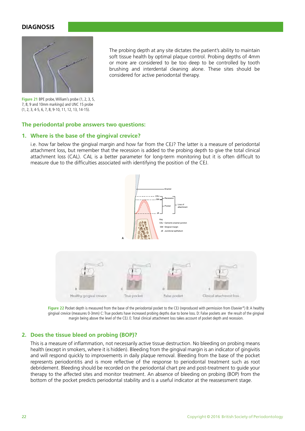#### **DIAGNOSIS**



 The probing depth at any site dictates the patient's ability to maintain soft tissue health by optimal plaque control. Probing depths of 4mm or more are considered to be too deep to be controlled by tooth brushing and interdental cleaning alone. These sites should be considered for active periodontal therapy.

**Figure 21** BPE probe, William's probe (1, 2, 3, 5, 7, 8, 9 and 10mm markings) and UNC 15 probe (1, 2, 3, 4-5, 6, 7, 8, 9-10, 11, 12, 13, 14-15).

#### **The periodontal probe answers two questions:**

#### **1. Where is the base of the gingival crevice?**

 i.e. how far below the gingival margin and how far from the CEJ? The latter is a measure of periodontal attachment loss, but remember that the recession is added to the probing depth to give the total clinical attachment loss (CAL). CAL is a better parameter for long-term monitoring but it is often difficult to measure due to the difficulties associated with identifying the position of the CEJ.



Figure 22 Pocket depth is measured from the base of the periodontal pocket to the CEJ (reproduced with permission from Elsevier\*) B: A healthy gingival crevice (measures 0-3mm) C: True pockets have increased probing depths due to bone loss. D: False pockets are the result of the gingival margin being above the level of the CEJ. E: Total clinical attachment loss takes account of pocket depth and recession.

#### **2. Does the tissue bleed on probing (BOP)?**

 This is a measure of inflammation, not necessarily active tissue destruction. No bleeding on probing means health (except in smokers, where it is hidden). Bleeding from the gingival margin is an indicator of gingivitis and will respond quickly to improvements in daily plaque removal. Bleeding from the base of the pocket represents periodontitis and is more reflective of the response to periodontal treatment such as root debridement. Bleeding should be recorded on the periodontal chart pre and post-treatment to guide your therapy to the affected sites and monitor treatment. An absence of bleeding on probing (BOP) from the bottom of the pocket predicts periodontal stability and is a useful indicator at the reassessment stage.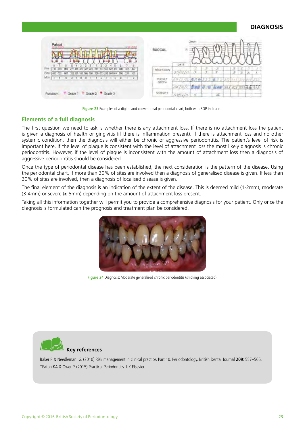#### **DIAGNOSIS**

| Palatal                                                                                                                                             | <b>BUCCA</b>    | DATE                  | -       |        |     |     |          |  |
|-----------------------------------------------------------------------------------------------------------------------------------------------------|-----------------|-----------------------|---------|--------|-----|-----|----------|--|
| Pric<br>272.446 322 322 223<br>827<br>121<br>711<br>121 507 622 322<br>032 800 322 321 100 000 000 900 000 245 000 014 000 231<br>Rec<br>030<br>120 | GESSION         | 30/17/                | 茂       | з<br>ž |     | a.  | $\equiv$ |  |
| Mob.<br>$\overline{u}$                                                                                                                              | FOCKE?<br>DEFIN | 00 / 1/2 #34 322 # 31 |         |        | 有机  |     |          |  |
|                                                                                                                                                     |                 | 30/16/6               | 548 038 |        | 333 | 323 |          |  |
| Grade T V Grade 2 V Grade 3<br>Furcasor                                                                                                             |                 | dD/13/11              | 197     |        |     |     |          |  |

**Figure 23** Examples of a digital and conventional periodontal chart, both with BOP indicated.

#### **Elements of a full diagnosis**

The first question we need to ask is whether there is any attachment loss. If there is no attachment loss the patient is given a diagnosis of health or gingivitis (if there is inflammation present). If there is attachment loss and no other systemic condition, then the diagnosis will either be chronic or aggressive periodontitis. The patient's level of risk is important here. If the level of plaque is consistent with the level of attachment loss the most likely diagnosis is chronic periodontitis. However, if the level of plaque is inconsistent with the amount of attachment loss then a diagnosis of aggressive periodontitis should be considered.

Once the type of periodontal disease has been established, the next consideration is the pattern of the disease. Using the periodontal chart, if more than 30% of sites are involved then a diagnosis of generalised disease is given. If less than 30% of sites are involved, then a diagnosis of localised disease is given.

The final element of the diagnosis is an indication of the extent of the disease. This is deemed mild (1-2mm), moderate  $(3-4mm)$  or severe ( $\geq 5mm$ ) depending on the amount of attachment loss present.

Taking all this information together will permit you to provide a comprehensive diagnosis for your patient. Only once the diagnosis is formulated can the prognosis and treatment plan be considered.



**Figure 24** Diagnosis: Moderate generalised chronic periodontitis (smoking associated).



Baker P & Needleman IG. (2010) Risk management in clinical practice. Part 10. Periodontology. British Dental Journal **209**: 557–565. \*Eaton KA & Ower P. (2015) Practical Periodontics. UK Elsevier.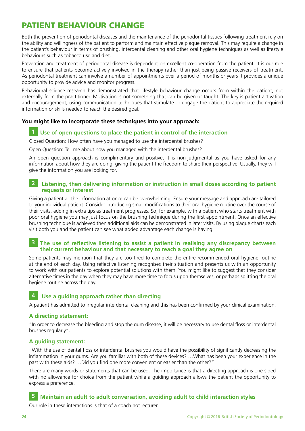## PATIENT BEHAVIOUR CHANGE

Both the prevention of periodontal diseases and the maintenance of the periodontal tissues following treatment rely on the ability and willingness of the patient to perform and maintain effective plaque removal. This may require a change in the patient's behaviour in terms of brushing, interdental cleaning and other oral hygiene techniques as well as lifestyle behaviours such as tobacco use and diet.

Prevention and treatment of periodontal disease is dependent on excellent co-operation from the patient. It is our role to ensure that patients become actively involved in the therapy rather than just being passive receivers of treatment. As periodontal treatment can involve a number of appointments over a period of months or years it provides a unique opportunity to provide advice and monitor progress.

Behavioural science research has demonstrated that lifestyle behaviour change occurs from within the patient, not externally from the practitioner. Motivation is not something that can be given or taught. The key is patient activation and encouragement, using communication techniques that stimulate or engage the patient to appreciate the required information or skills needed to reach the desired goal.

#### **You might like to incorporate these techniques into your approach:**

#### **1 Use of open questions to place the patient in control of the interaction**

Closed Question: How often have you managed to use the interdental brushes?

Open Question: Tell me about how you managed with the interdental brushes?

An open question approach is complimentary and positive, it is non-judgmental as you have asked for any information about how they are doing, giving the patient the freedom to share their perspective. Usually, they will give the information you are looking for.

#### **2 Listening, then delivering information or instruction in small doses according to patient requests or interest**

Giving a patient all the information at once can be overwhelming. Ensure your message and approach are tailored to your individual patient. Consider introducing small modifications to their oral hygiene routine over the course of their visits, adding in extra tips as treatment progresses. So, for example, with a patient who starts treatment with poor oral hygiene you may just focus on the brushing technique during the first appointment. Once an effective brushing technique is achieved then additional aids can be demonstrated in later visits. By using plaque charts each visit both you and the patient can see what added advantage each change is having.

#### **3 The use of reflective listening to assist a patient in realising any discrepancy between their current behaviour and that necessary to reach a goal they agree on**

Some patients may mention that they are too tired to complete the entire recommended oral hygiene routine at the end of each day. Using reflective listening recognises their situation and presents us with an opportunity to work with our patients to explore potential solutions with them. You might like to suggest that they consider alternative times in the day when they may have more time to focus upon themselves, or perhaps splitting the oral hygiene routine across the day.

#### **4 Use a guiding approach rather than directing**

A patient has admitted to irregular interdental cleaning and this has been confirmed by your clinical examination.

#### **A directing statement:**

"In order to decrease the bleeding and stop the gum disease, it will be necessary to use dental floss or interdental brushes regularly".

#### **A guiding statement:**

"With the use of dental floss or interdental brushes you would have the possibility of significantly decreasing the inflammation in your gums. Are you familiar with both of these devices? …What has been your experience in the past with these aids? …Did you find one more convenient or easier than the other?"

There are many words or statements that can be used. The importance is that a directing approach is one sided with no allowance for choice from the patient while a guiding approach allows the patient the opportunity to express a preference.

#### **5 Maintain an adult to adult conversation, avoiding adult to child interaction styles**

Our role in these interactions is that of a coach not lecturer.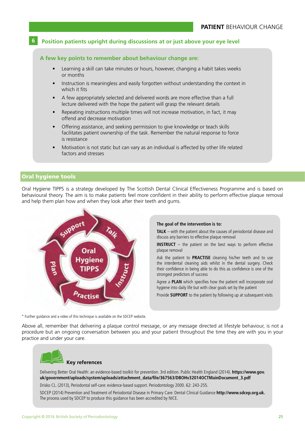#### **6 Position patients upright during discussions at or just above your eye level**

#### **A few key points to remember about behaviour change are:**

- Learning a skill can take minutes or hours, however, changing a habit takes weeks or months
- Instruction is meaningless and easily forgotten without understanding the context in which it fits
- A few appropriately selected and delivered words are more effective than a full lecture delivered with the hope the patient will grasp the relevant details
- Repeating instructions multiple times will not increase motivation, in fact, it may offend and decrease motivation
- Offering assistance, and seeking permission to give knowledge or teach skills facilitates patient ownership of the task. Remember the natural response to force is resistance
- Motivation is not static but can vary as an individual is affected by other life related factors and stresses

#### Oral hygiene tools

Oral Hygiene TIPPS is a strategy developed by The Scottish Dental Clinical Effectiveness Programme and is based on behavioural theory. The aim is to make patients feel more confident in their ability to perform effective plaque removal and help them plan how and when they look after their teeth and gums.



#### **The goal of the intervention is to:**

**TALK** – with the patient about the causes of periodontal disease and discuss any barriers to effective plaque removal

**INSTRUCT** – the patient on the best ways to perform effective plaque removal

Ask the patient to **PRACTISE** cleaning his/her teeth and to use the interdental cleaning aids whilst in the dental surgery. Check their confidence in being able to do this as confidence is one of the strongest predictors of success

Agree a **PLAN** which specifies how the patient will incorporate oral hygiene into daily life but with clear goals set by the patient

Provide **SUPPORT** to the patient by following up at subsequent visits

\* Further guidance and a video of this technique is available on the SDCEP website.

Above all, remember that delivering a plaque control message, or any message directed at lifestyle behaviour, is not a procedure but an ongoing conversation between you and your patient throughout the time they are with you in your practice and under your care.



Delivering Better Oral Health: an evidence-based toolkit for prevention. 3rd edition. Public Health England (2014). **https://www.gov. uk/government/uploads/system/uploads/attachment\_data/file/367563/DBOHv32014OCTMainDocument\_3.pdf**

Drisko CL. (2013), Periodontal self-care: evidence-based support. Periodontology 2000. 62: 243-255.

SDCEP (2014) Prevention and Treatment of Periodontal Disease in Primary Care: Dental Clinical Guidance **http://www.sdcep.org.uk.**  The process used by SDCEP to produce this guidance has been accredited by NICE.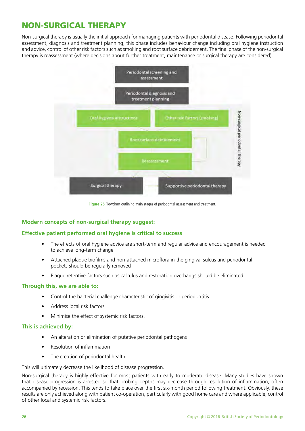## NON-SURGICAL THERAPY

Non-surgical therapy is usually the initial approach for managing patients with periodontal disease. Following periodontal assessment, diagnosis and treatment planning, this phase includes behaviour change including oral hygiene instruction and advice, control of other risk factors such as smoking and root surface debridement. The final phase of the non-surgical therapy is reassessment (where decisions about further treatment, maintenance or surgical therapy are considered).



**Figure 25** Flowchart outlining main stages of periodontal assessment and treatment.

#### **Modern concepts of non-surgical therapy suggest:**

#### **Effective patient performed oral hygiene is critical to success**

- The effects of oral hygiene advice are short-term and regular advice and encouragement is needed to achieve long-term change
- Attached plaque biofilms and non-attached microflora in the gingival sulcus and periodontal pockets should be regularly removed
- Plaque retentive factors such as calculus and restoration overhangs should be eliminated.

#### **Through this, we are able to:**

- Control the bacterial challenge characteristic of gingivitis or periodontitis
- Address local risk factors
- Minimise the effect of systemic risk factors.

#### **This is achieved by:**

- An alteration or elimination of putative periodontal pathogens
- Resolution of inflammation
- The creation of periodontal health.

#### This will ultimately decrease the likelihood of disease progression.

Non-surgical therapy is highly effective for most patients with early to moderate disease. Many studies have shown that disease progression is arrested so that probing depths may decrease through resolution of inflammation, often accompanied by recession. This tends to take place over the first six-month period following treatment. Obviously, these results are only achieved along with patient co-operation, particularly with good home care and where applicable, control of other local and systemic risk factors.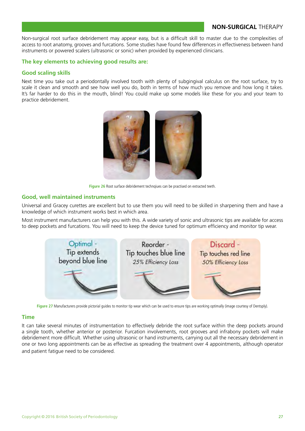#### **NON-SURGICAL** THERAPY

Non-surgical root surface debridement may appear easy, but is a difficult skill to master due to the complexities of access to root anatomy, grooves and furcations. Some studies have found few differences in effectiveness between hand instruments or powered scalers (ultrasonic or sonic) when provided by experienced clinicians.

#### **The key elements to achieving good results are:**

#### **Good scaling skills**

Next time you take out a periodontally involved tooth with plenty of subgingival calculus on the root surface, try to scale it clean and smooth and see how well you do, both in terms of how much you remove and how long it takes. It's far harder to do this in the mouth, blind! You could make up some models like these for you and your team to practice debridement.



**Figure 26** Root surface debridement technqiues can be practised on extracted teeth.

#### **Good, well maintained instruments**

Universal and Gracey curettes are excellent but to use them you will need to be skilled in sharpening them and have a knowledge of which instrument works best in which area.

Most instrument manufacturers can help you with this. A wide variety of sonic and ultrasonic tips are available for access to deep pockets and furcations. You will need to keep the device tuned for optimum efficiency and monitor tip wear.



**Figure 27** Manufacturers provide pictorial guides to monitor tip wear which can be used to ensure tips are working optimally (image courtesy of Dentsply).

#### **Time**

It can take several minutes of instrumentation to effectively debride the root surface within the deep pockets around a single tooth, whether anterior or posterior. Furcation involvements, root grooves and infrabony pockets will make debridement more difficult. Whether using ultrasonic or hand instruments, carrying out all the necessary debridement in one or two long appointments can be as effective as spreading the treatment over 4 appointments, although operator and patient fatigue need to be considered.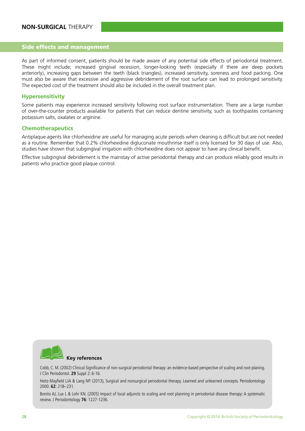#### Side effects and management

As part of informed consent, patients should be made aware of any potential side effects of periodontal treatment. These might include; increased gingival recession, longer-looking teeth (especially if there are deep pockets anteriorly), increasing gaps between the teeth (black triangles), increased sensitivity, soreness and food packing. One must also be aware that excessive and aggressive debridement of the root surface can lead to prolonged sensitivity. The expected cost of the treatment should also be included in the overall treatment plan.

#### **Hypersensitivity**

Some patients may experience increased sensitivity following root surface instrumentation. There are a large number of over-the-counter products available for patients that can reduce dentine sensitivity, such as toothpastes containing potassium salts, oxalates or arginine.

#### **Chemotherapeutics**

Antiplaque agents like chlorhexidine are useful for managing acute periods when cleaning is difficult but are not needed as a routine. Remember that 0.2% chlorhexidine digluconate mouthrinse itself is only licensed for 30 days of use. Also, studies have shown that subgingival irrigation with chlorhexidine does not appear to have any clinical benefit.

Effective subgingival debridement is the mainstay of active periodontal therapy and can produce reliably good results in patients who practice good plaque control.



Cobb, C. M. (2002) Clinical Significance of non-surgical periodontal therapy: an evidence-based perspective of scaling and root planing. J Clin Periodontol. **29** Suppl 2: 6-16.

Heitz-Mayfield LJA & Lang NP. (2013), Surgical and nonsurgical periodontal therapy. Learned and unlearned concepts. Periodontology 2000. **62**: 218–231.

Bonito AJ, Lux L & Lohr KN. (2005) Impact of local adjuncts to scaling and root planning in periodontal disease therapy: A systematic review. J Periodontology **76**: 1227-1236.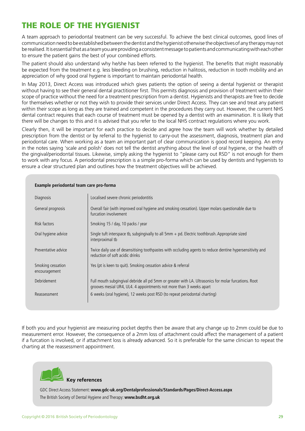## THE ROLE OF THE HYGIENIST

A team approach to periodontal treatment can be very successful. To achieve the best clinical outcomes, good lines of communication need to be established between the dentist and the hygienist otherwise the objectives of any therapy may not be realised. It is essential that as a team you are providing a consistent message to patients and communicating with each other to ensure the patient gains the best of your combined efforts.

The patient should also understand why he/she has been referred to the hygienist. The benefits that might reasonably be expected from the treatment e.g. less bleeding on brushing, reduction in halitosis, reduction in tooth mobility and an appreciation of why good oral hygiene is important to maintain periodontal health.

In May 2013, Direct Access was introduced which gives patients the option of seeing a dental hygienist or therapist without having to see their general dental practitioner first. This permits diagnosis and provision of treatment within their scope of practice without the need for a treatment prescription from a dentist. Hygienists and therapists are free to decide for themselves whether or not they wish to provide their services under Direct Access. They can see and treat any patient within their scope as long as they are trained and competent in the procedures they carry out. However, the current NHS dental contract requires that each course of treatment must be opened by a dentist with an examination. It is likely that there will be changes to this and it is advised that you refer to the local NHS contract regulations where you work.

Clearly then, it will be important for each practice to decide and agree how the team will work whether by detailed prescription from the dentist or by referral to the hygienist to carry-out the assessment, diagnosis, treatment plan and periodontal care. When working as a team an important part of clear communication is good record keeping. An entry in the notes saying 'scale and polish' does not tell the dentist anything about the level of oral hygiene, or the health of the gingival/periodontal tissues. Likewise, simply asking the hygienist to "please carry out RSD" is not enough for them to work with any focus. A periodontal prescription is a simple pro-forma which can be used by dentists and hygienists to ensure a clear structured plan and outlines how the treatment objectives will be achieved.

| Diagnosis                          | Localised severe chronic periodontitis                                                                                                                                      |
|------------------------------------|-----------------------------------------------------------------------------------------------------------------------------------------------------------------------------|
| General prognosis                  | Overall fair (with improved oral hygiene and smoking cessation). Upper molars questionable due to<br>furcation involvement                                                  |
| Risk factors                       | Smoking 15 / day, 10 packs / year                                                                                                                                           |
| Oral hygiene advice                | Single tuft interspace tb, subgingivally to all $5mm + pd$ . Electric toothbrush. Appropriate sized<br>interproximal tb                                                     |
| Preventative advice                | Twice daily use of desensitising toothpastes with occluding agents to reduce dentine hypersensitivity and<br>reduction of soft acidic drinks                                |
| Smoking cessation<br>encouragement | Yes (pt is keen to quit). Smoking cessation advice & referral                                                                                                               |
| Debridement                        | Full mouth subgingival debride all pd 5mm or greater with LA. Ultrasonics for molar furcations. Root<br>grooves mesial UR4, UL4. 4 appointments not more than 3 weeks apart |
| Reassessment                       | 6 weeks (oral hygiene), 12 weeks post RSD (to repeat periodontal charting)                                                                                                  |

#### **Example periodontal team care pro-forma**

If both you and your hygienist are measuring pocket depths then be aware that any change up to 2mm could be due to measurement error. However, the consequence of a 2mm loss of attachment could affect the management of a patient if a furcation is involved, or if attachment loss is already advanced. So it is preferable for the same clinician to repeat the charting at the reassessment appointment.



GDC Direct Access Statement: **www.gdc-uk.org/Dentalprofessionals/Standards/Pages/Direct-Access.aspx**  The British Society of Dental Hygiene and Therapy: **www.bsdht.org.uk**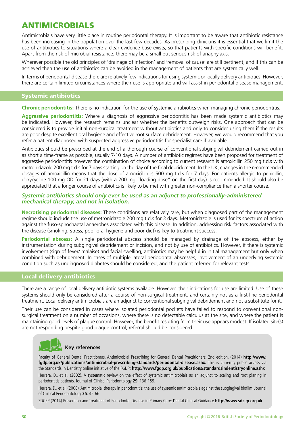## ANTIMICROBIALS

Antimicrobials have very little place in routine periodontal therapy. It is important to be aware that antibiotic resistance has been increasing in the population over the last few decades. As prescribing clinicians it is essential that we limit the use of antibiotics to situations where a clear evidence base exists, so that patients with specific conditions will benefit. Apart from the risk of microbial resistance, there may be a small but serious risk of anaphylaxis.

Wherever possible the old principles of 'drainage of infection' and 'removal of cause' are still pertinent, and if this can be achieved then the use of antibiotics can be avoided in the management of patients that are systemically well.

In terms of periodontal disease there are relatively few indications for using systemic or locally delivery antibiotics. However, there are certain limited circumstances where their use is appropriate and will assist in periodontal disease management.

#### Systemic antibiotics

**Chronic periodontitis:** There is no indication for the use of systemic antibiotics when managing chronic periodontitis.

**Aggressive periodontitis:** Where a diagnosis of aggressive periodontitis has been made systemic antibiotics may be indicated. However, the research remains unclear whether the benefits outweigh risks. One approach that can be considered is to provide initial non-surgical treatment without antibiotics and only to consider using them if the results are poor despite excellent oral hygiene and effective root surface debridement. However, we would recommend that you refer a patient diagnosed with suspected aggressive periodontitis for specialist care if available.

Antibiotics should be prescribed at the end of a thorough course of conventional subgingival debridement carried out in as short a time-frame as possible, usually 7-10 days. A number of antibiotic regimes have been proposed for treatment of aggressive periodontitis however the combination of choice according to current research is amoxicillin 250 mg t.d.s with metronidazole 200 mg t.d.s for 7 days starting on the day of the final debridement. In the UK, changes in the recommended dosages of amoxicillin means that the dose of amoxicillin is 500 mg t.d.s for 7 days. For patients allergic to penicillin, doxycycline 100 mg OD for 21 days (with a 200 mg "loading dose" on the first day) is recommended. It should also be appreciated that a longer course of antibiotics is likely to be met with greater non-compliance than a shorter course.

#### *Systemic antibiotics should only ever be used as an adjunct to professionally-administered mechanical therapy, and not in isolation.*

**Necrotising periodontal diseases:** These conditions are relatively rare, but when diagnosed part of the management regime should include the use of metronidazole 200 mg t.d.s for 3 days. Metronidazole is used for its spectrum of action against the fuso-spirochaetal anaerobes associated with this disease. In addition, addressing risk factors associated with the disease (smoking, stress, poor oral hygiene and poor diet) is key to treatment success.

**Periodontal abscess:** A single periodontal abscess should be managed by drainage of the abscess, either by instrumentation during subgingival debridement or incision, and not by use of antibiotics. However, if there is systemic involvement (sign of fever/ malaise) and facial swelling, antibiotics may be helpful in initial management but only when combined with debridement. In cases of multiple lateral periodontal abscesses, involvement of an underlying systemic condition such as undiagnosed diabetes should be considered, and the patient referred for relevant tests.

#### Local delivery antibiotics

There are a range of local delivery antibiotic systems available. However, their indications for use are limited. Use of these systems should only be considered after a course of non-surgical treatment, and certainly not as a first-line periodontal treatment. Local delivery antimicrobials are an adjunct to conventional subgingival debridement and not a substitute for it.

Their use can be considered in cases where isolated periodontal pockets have failed to respond to conventional nonsurgical treatment on a number of occasions, where there is no detectable calculus at the site, and where the patient is maintaining good levels of plaque control. However, the benefit resulting from their use appears modest. If isolated site(s) are not responding despite good plaque control, referral should be considered.

## **Key references**

Faculty of General Dental Practitioners. Antimicrobial Prescribing for General Dental Practitioners: 2nd edition, (2014) **http://www. fgdp.org.uk/publications/antimicrobial-prescribing-standards/periodontal-disease.ashx.** This is currently public access via the Standards in Dentistry online initiative of the FGDP: **http://www.fgdp.org.uk/publications/standardsindentistryonline.ashx** Herrera, D., et al. (2002), A systematic review on the effect of systemic antimicrobials as an adjunct to scaling and root planing in periodontitis patients. Journal of Clinical Periodontology **29**: 136-159.

Herrera, D., et al. (2008), Antimicrobial therapy in periodontitis: the use of systemic antimicrobials against the subgingival biofilm. Journal of Clinical Periodontology **35**: 45-66.

SDCEP (2014) Prevention and Treatment of Periodontal Disease in Primary Care: Dental Clinical Guidance **http://www.sdcep.org.uk**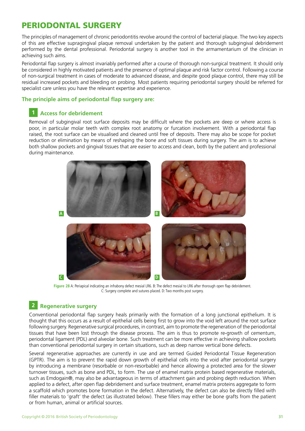## PERIODONTAL SURGERY

The principles of management of chronic periodontitis revolve around the control of bacterial plaque. The two key aspects of this are effective supragingival plaque removal undertaken by the patient and thorough subgingival debridement performed by the dental professional. Periodontal surgery is another tool in the armamentarium of the clinician in achieving such aims.

Periodontal flap surgery is almost invariably performed after a course of thorough non-surgical treatment. It should only be considered in highly motivated patients and the presence of optimal plaque and risk factor control. Following a course of non-surgical treatment in cases of moderate to advanced disease, and despite good plaque control, there may still be residual increased pockets and bleeding on probing. Most patients requiring periodontal surgery should be referred for specialist care unless you have the relevant expertise and experience.

#### **The principle aims of periodontal flap surgery are:**

#### **1 Access for debridement**

Removal of subgingival root surface deposits may be difficult where the pockets are deep or where access is poor, in particular molar teeth with complex root anatomy or furcation involvement. With a periodontal flap raised, the root surface can be visualised and cleaned until free of deposits. There may also be scope for pocket reduction or elimination by means of reshaping the bone and soft tissues during surgery. The aim is to achieve both shallow pockets and gingival tissues that are easier to access and clean, both by the patient and professional during maintenance.



**Figure 28** A: Periapical indicating an infrabony defect mesial LR6. B: The defect mesial to LR6 after thorough open flap debridement. C: Surgery complete and sutures placed. D: Two months post surgery.

#### **2 Regenerative surgery**

Conventional periodontal flap surgery heals primarily with the formation of a long junctional epithelium. It is thought that this occurs as a result of epithelial cells being first to grow into the void left around the root surface following surgery. Regenerative surgical procedures, in contrast, aim to promote the regeneration of the periodontal tissues that have been lost through the disease process. The aim is thus to promote re-growth of cementum, periodontal ligament (PDL) and alveolar bone. Such treatment can be more effective in achieving shallow pockets than conventional periodontal surgery in certain situations, such as deep narrow vertical bone defects.

Several regenerative approaches are currently in use and are termed Guided Periodontal Tissue Regeneration (GPTR). The aim is to prevent the rapid down growth of epithelial cells into the void after periodontal surgery by introducing a membrane (resorbable or non-resorbable) and hence allowing a protected area for the slower turnover tissues, such as bone and PDL, to form. The use of enamel matrix protein based regenerative materials, such as Emdogain®, may also be advantageous in terms of attachment gain and probing depth reduction. When applied to a defect, after open flap debridement and surface treatment, enamel matrix proteins aggregate to form a scaffold which promotes bone formation in the defect. Alternatively, the defect can also be directly filled with filler materials to 'graft' the defect (as illustrated below). These fillers may either be bone grafts from the patient or from human, animal or artificial sources.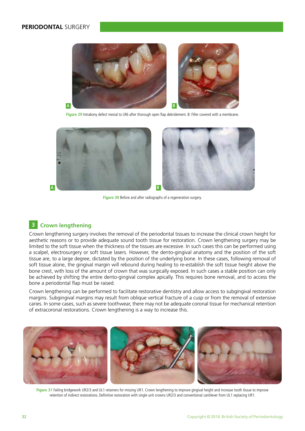#### **PERIODONTAL** SURGERY



**Figure 29** Intrabony defect mesial to LR6 after thorough open flap debridement. B: Filler covered with a membrane.



**Figure 30** Before and after radiographs of a regeneration surgery.

#### **3 Crown lengthening**

Crown lengthening surgery involves the removal of the periodontal tissues to increase the clinical crown height for aesthetic reasons or to provide adequate sound tooth tissue for restoration. Crown lengthening surgery may be limited to the soft tissue when the thickness of the tissues are excessive. In such cases this can be performed using a scalpel, electrosurgery or soft tissue lasers. However, the dento-gingival anatomy and the position of the soft tissue are, to a large degree, dictated by the position of the underlying bone. In these cases, following removal of soft tissue alone, the gingival margin will rebound during healing to re-establish the soft tissue height above the bone crest, with loss of the amount of crown that was surgically exposed. In such cases a stable position can only be achieved by shifting the entire dento-gingival complex apically. This requires bone removal, and to access the bone a periodontal flap must be raised.

Crown lengthening can be performed to facilitate restorative dentistry and allow access to subgingival restoration margins. Subgingival margins may result from oblique vertical fracture of a cusp or from the removal of extensive caries. In some cases, such as severe toothwear, there may not be adequate coronal tissue for mechanical retention of extracoronal restorations. Crown lengthening is a way to increase this.



**Figure 31** Failing bridgework UR2/3 and UL1 retainers for missing UR1. Crown lengthening to improve gingival height and increase tooth tissue to improve retention of indirect restorations. Definitive restoration with single unit crowns UR2/3 and conventional cantilever from UL1 replacing UR1.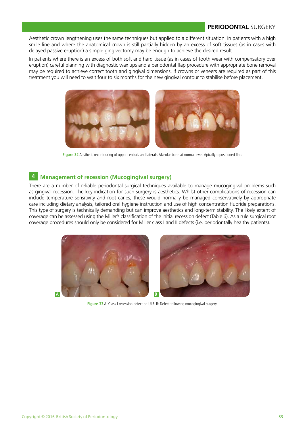Aesthetic crown lengthening uses the same techniques but applied to a different situation. In patients with a high smile line and where the anatomical crown is still partially hidden by an excess of soft tissues (as in cases with delayed passive eruption) a simple gingivectomy may be enough to achieve the desired result.

In patients where there is an excess of both soft and hard tissue (as in cases of tooth wear with compensatory over eruption) careful planning with diagnostic wax ups and a periodontal flap procedure with appropriate bone removal may be required to achieve correct tooth and gingival dimensions. If crowns or veneers are required as part of this treatment you will need to wait four to six months for the new gingival contour to stabilise before placement.



**Figure 32** Aesthetic recontouring of upper centrals and laterals. Alveolar bone at normal level. Apically repositioned flap.

#### **4 Management of recession (Mucogingival surgery)**

There are a number of reliable periodontal surgical techniques available to manage mucogingival problems such as gingival recession. The key indication for such surgery is aesthetics. Whilst other complications of recession can include temperature sensitivity and root caries, these would normally be managed conservatively by appropriate care including dietary analysis, tailored oral hygiene instruction and use of high concentration fluoride preparations. This type of surgery is technically demanding but can improve aesthetics and long-term stability. The likely extent of coverage can be assessed using the Miller's classification of the initial recession defect (Table 6). As a rule surgical root coverage procedures should only be considered for Miller class I and II defects (i.e. periodontally healthy patients).



**Figure 33** A: Class I recession defect on UL3. B: Defect following mucogingival surgery.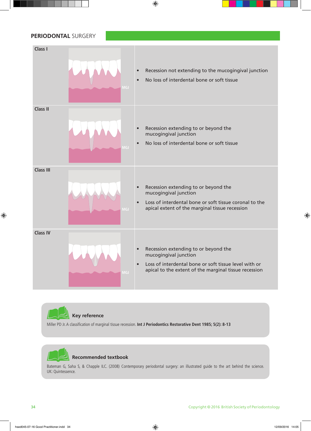## **PERIODONTAL** SURGERY **Class I** Recession not extending to the mucogingival junction • No loss of interdental bone or soft tissue **Class II** Recession extending to or beyond the mucogingival junction • No loss of interdental bone or soft tissue **Class III** Recession extending to or beyond the mucogingival junction Loss of interdental bone or soft tissue coronal to the apical extent of the marginal tissue recession **Class IV** Recession extending to or beyond the mucogingival junction Loss of interdental bone or soft tissue level with or apical to the extent of the marginal tissue recession **MGJ**



Miller PD Jr. A classification of marginal tissue recession. **Int J Periodontics Restorative Dent 1985; 5(2): 8-13**



#### **Recommended textbook**

Bateman G, Saha S, & Chapple ILC. (2008) Contemporary periodontal surgery: an illustrated guide to the art behind the science. UK: Quintessence.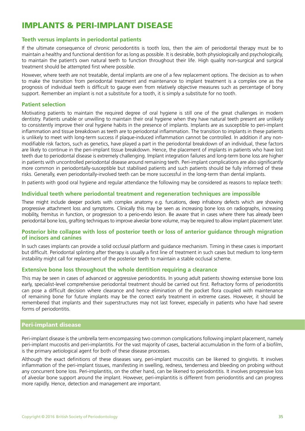## IMPLANTS & PERI-IMPLANT DISEASE

#### **Teeth versus implants in periodontal patients**

If the ultimate consequence of chronic periodontitis is tooth loss, then the aim of periodontal therapy must be to maintain a healthy and functional dentition for as long as possible. It is desirable, both physiologically and psychologically, to maintain the patient's own natural teeth to function throughout their life. High quality non-surgical and surgical treatment should be attempted first where possible.

However, where teeth are not treatable, dental implants are one of a few replacement options. The decision as to when to make the transition from periodontal treatment and maintenance to implant treatment is a complex one as the prognosis of individual teeth is difficult to gauge even from relatively objective measures such as percentage of bony support. Remember an implant is not a substitute for a tooth, it is simply a substitute for no tooth.

#### **Patient selection**

Motivating patients to maintain the required degree of oral hygiene is still one of the great challenges in modern dentistry. Patients unable or unwilling to maintain their oral hygiene when they have natural teeth present are unlikely to consistently improve their oral hygiene habits in the presence of implants. Implants are as susceptible to peri-implant inflammation and tissue breakdown as teeth are to periodontal inflammation. The transition to implants in these patients is unlikely to meet with long-term success if plaque-induced inflammation cannot be controlled. In addition if any nonmodifiable risk factors, such as genetics, have played a part in the periodontal breakdown of an individual, these factors are likely to continue in the peri-implant tissue breakdown. Hence, the placement of implants in patients who have lost teeth due to periodontal disease is extremely challenging. Implant integration failures and long-term bone loss are higher in patients with uncontrolled periodontal disease around remaining teeth. Peri-implant complications are also significantly more common in periodontally-susceptible but stabilised patients and such patients should be fully informed of these risks. Generally, even periodontally-involved teeth can be more successful in the long-term than dental implants.

In patients with good oral hygiene and regular attendance the following may be considered as reasons to replace teeth:

#### **Individual teeth where periodontal treatment and regeneration techniques are impossible**

These might include deeper pockets with complex anatomy e.g. furcations, deep infrabony defects which are showing progressive attachment loss and symptoms. Clinically this may be seen as increasing bone loss on radiographs, increasing mobility, fremitus in function, or progression to a perio-endo lesion. Be aware that in cases where there has already been periodontal bone loss, grafting techniques to improve alveolar bone volume, may be required to allow implant placement later.

#### **Posterior bite collapse with loss of posterior teeth or loss of anterior guidance through migration of incisors and canines**

In such cases implants can provide a solid occlusal platform and guidance mechanism. Timing in these cases is important but difficult. Periodontal splinting after therapy is usually a first line of treatment in such cases but medium to long-term instability might call for replacement of the posterior teeth to maintain a stable occlusal scheme.

#### **Extensive bone loss throughout the whole dentition requiring a clearance**

This may be seen in cases of advanced or aggressive periodontitis. In young adult patients showing extensive bone loss early, specialist-level comprehensive periodontal treatment should be carried out first. Refractory forms of periodontitis can pose a difficult decision where clearance and hence elimination of the pocket flora coupled with maintenance of remaining bone for future implants may be the correct early treatment in extreme cases. However, it should be remembered that implants and their superstructures may not last forever, especially in patients who have had severe forms of periodontitis.

#### Peri-implant disease

Peri-implant disease is the umbrella term encompassing two common complications following implant placement, namely peri-implant mucositis and peri-implantitis. For the vast majority of cases, bacterial accumulation in the form of a biofilm, is the primary aetiological agent for both of these disease processes.

Although the exact definitions of these diseases vary, peri-implant mucositis can be likened to gingivitis. It involves inflammation of the peri-implant tissues, manifesting in swelling, redness, tenderness and bleeding on probing without any concurrent bone loss. Peri-implantitis, on the other hand, can be likened to periodontitis. It involves progressive loss of alveolar bone support around the implant. However, peri-implantitis is different from periodontitis and can progress more rapidly. Hence, detection and management are important.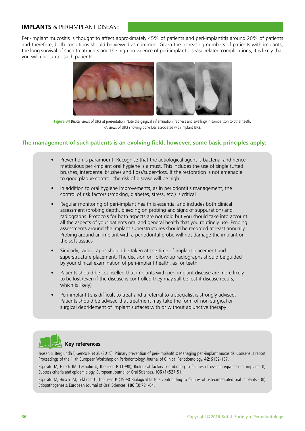#### **IMPLANTS** & PERI-IMPLANT DISEASE

Peri-implant mucositis is thought to affect approximately 45% of patients and peri-implantitis around 20% of patients and therefore, both conditions should be viewed as common. Given the increasing numbers of patients with implants, the long survival of such treatments and the high prevalence of peri-implant disease related complications, it is likely that you will encounter such patients.



**Figure 34** Buccal views of UR3 at presentation. Note the gingival inflammation (redness and swelling) in comparison to other teeth. PA views of UR3 showing bone loss associated with implant UR3.

#### **The management of such patients is an evolving field, however, some basic principles apply:**

- Prevention is paramount: Recognise that the aetiological agent is bacterial and hence meticulous peri-implant oral hygiene is a must. This includes the use of single tufted brushes, interdental brushes and floss/super-floss. If the restoration is not amenable to good plaque control, the risk of disease will be high
- In addition to oral hygiene improvements, as in periodontitis management, the control of risk factors (smoking, diabetes, stress, etc.) is critical
- Regular monitoring of peri-implant health is essential and includes both clinical assessment (probing depth, bleeding on probing and signs of suppuration) and radiographs. Protocols for both aspects are not rigid but you should take into account all the aspects of your patients oral and general health that you routinely use. Probing assessments around the implant superstructures should be recorded at least annually. Probing around an implant with a periodontal probe will not damage the implant or the soft tissues
- Similarly, radiographs should be taken at the time of implant placement and superstructure placement. The decision on follow-up radiographs should be guided by your clinical examination of peri-implant health, as for teeth
- Patients should be counselled that implants with peri-implant disease are more likely to be lost (even if the disease is controlled they may still be lost if disease recurs, which is likely)
- Peri-implantitis is difficult to treat and a referral to a specialist is strongly advised. Patients should be advised that treatment may take the form of non-surgical or surgical debridement of implant surfaces with or without adjunctive therapy



#### **Key references**

Jepsen S, Berglundh T, Genco R et al. (2015), Primary prevention of peri-implantitis: Managing peri-implant mucositis. Consensus report, Proceedings of the 11th European Workshop on Periodontology. Journal of Clinical Periodontology. **42**: S152-157.

Esposito M, Hirsch JM, Lekholm U, Thomsen P. (1998), Biological factors contributing to failures of osseointegrated oral implants (I). Success criteria and epidemiology. European Journal of Oral Sciences. **106** (1):527-51.

Esposito M, Hirsch JM, Lekholm U, Thomsen P. (1998) Biological factors contributing to failures of osseointegrated oral implants - (II). Etiopathogenesis. European Journal of Oral Sciences. **106** (3):721-64.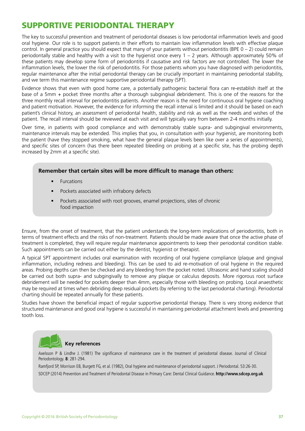## SUPPORTIVE PERIODONTAL THERAPY

The key to successful prevention and treatment of periodontal diseases is low periodontal inflammation levels and good oral hygiene. Our role is to support patients in their efforts to maintain low inflammation levels with effective plaque control. In general practice you should expect that many of your patients without periodontitis (BPE  $0 - 2$ ) could remain periodontally stable and healthy with a visit to the hygienist once every 1 – 2 years. Although approximately 50% of these patients may develop some form of periodontitis if causative and risk factors are not controlled. The lower the inflammation levels, the lower the risk of periodontitis. For those patients whom you have diagnosed with periodontitis, regular maintenance after the initial periodontal therapy can be crucially important in maintaining periodontal stability, and we term this maintenance regime supportive periodontal therapy (SPT).

Evidence shows that even with good home care, a potentially pathogenic bacterial flora can re-establish itself at the base of a 5mm + pocket three months after a thorough subgingival debridement. This is one of the reasons for the three monthly recall interval for periodontitis patients. Another reason is the need for continuous oral hygiene coaching and patient motivation. However, the evidence for informing the recall interval is limited and it should be based on each patient's clinical history, an assessment of periodontal health, stability and risk as well as the needs and wishes of the patient. The recall interval should be reviewed at each visit and will typically vary from between 2-4 months initially.

Over time, in patients with good compliance and with demonstrably stable supra- and subgingival environments, maintenance intervals may be extended. This implies that you, in consultation with your hygienist, are monitoring both the patient (have they stopped smoking, what have the general plaque levels been like over a series of appointments), and specific sites of concern (has there been repeated bleeding on probing at a specific site, has the probing depth increased by 2mm at a specific site).

#### **Remember that certain sites will be more difficult to manage than others:**

- **Furcations**
- Pockets associated with infrabony defects
- Pockets associated with root grooves, enamel projections, sites of chronic food impaction

Ensure, from the onset of treatment, that the patient understands the long-term implications of periodontitis, both in terms of treatment effects and the risks of non-treatment. Patients should be made aware that once the active phase of treatment is completed, they will require regular maintenance appointments to keep their periodontal condition stable. Such appointments can be carried out either by the dentist, hygienist or therapist.

A typical SPT appointment includes oral examination with recording of oral hygiene compliance (plaque and gingival inflammation, including redness and bleeding). This can be used to aid re-motivation of oral hygiene in the required areas. Probing depths can then be checked and any bleeding from the pocket noted. Ultrasonic and hand scaling should be carried out both supra- and subgingivally to remove any plaque or calculus deposits. More rigorous root surface debridement will be needed for pockets deeper than 4mm, especially those with bleeding on probing. Local anaesthetic may be required at times when debriding deep residual pockets (by referring to the last periodontal charting). Periodontal charting should be repeated annually for these patients.

Studies have shown the beneficial impact of regular supportive periodontal therapy. There is very strong evidence that structured maintenance and good oral hygiene is successful in maintaining periodontal attachment levels and preventing tooth loss.



#### **Key references**

Axelsson P & Lindhe J. (1981) The significance of maintenance care in the treatment of periodontal disease. Journal of Clinical Periodontology. **8**: 281-294.

Ramfjord SP, Morrison EB, Burgett FG, et al. (1982), Oral hygiene and maintenance of periodontal support. J Periodontal. 53:26-30. SDCEP (2014) Prevention and Treatment of Periodontal Disease in Primary Care: Dental Clinical Guidance. **http://www.sdcep.org.uk**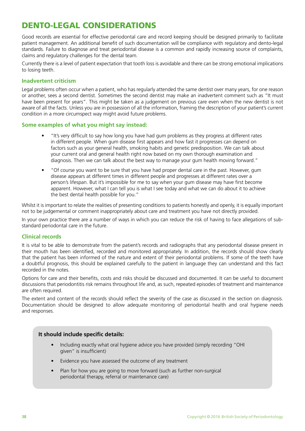## DENTO-LEGAL CONSIDERATIONS

Good records are essential for effective periodontal care and record keeping should be designed primarily to facilitate patient management. An additional benefit of such documentation will be compliance with regulatory and dento-legal standards. Failure to diagnose and treat periodontal disease is a common and rapidly increasing source of complaints, claims and regulatory challenges for the dental team.

Currently there is a level of patient expectation that tooth loss is avoidable and there can be strong emotional implications to losing teeth.

#### **Inadvertent criticism**

Legal problems often occur when a patient, who has regularly attended the same dentist over many years, for one reason or another, sees a second dentist. Sometimes the second dentist may make an inadvertent comment such as "It must have been present for years". This might be taken as a judgement on previous care even when the new dentist is not aware of all the facts. Unless you are in possession of all the information, framing the description of your patient's current condition in a more circumspect way might avoid future problems.

#### **Some examples of what you might say instead:**

- "It's very difficult to say how long you have had gum problems as they progress at different rates in different people. When gum disease first appears and how fast it progresses can depend on factors such as your general health, smoking habits and genetic predisposition. We can talk about your current oral and general health right now based on my own thorough examination and diagnosis. Then we can talk about the best way to manage your gum health moving forward."
- "Of course you want to be sure that you have had proper dental care in the past. However, gum disease appears at different times in different people and progresses at different rates over a person's lifespan. But it's impossible for me to say when your gum disease may have first become apparent. However, what I can tell you is what I see today and what we can do about it to achieve the best dental health possible for you."

Whilst it is important to relate the realities of presenting conditions to patients honestly and openly, it is equally important not to be judgemental or comment inappropriately about care and treatment you have not directly provided.

In your own practice there are a number of ways in which you can reduce the risk of having to face allegations of substandard periodontal care in the future.

#### **Clinical records**

It is vital to be able to demonstrate from the patient's records and radiographs that any periodontal disease present in their mouth has been identified, recorded and monitored appropriately. In addition, the records should show clearly that the patient has been informed of the nature and extent of their periodontal problems. If some of the teeth have a doubtful prognosis, this should be explained carefully to the patient in language they can understand and this fact recorded in the notes.

Options for care and their benefits, costs and risks should be discussed and documented. It can be useful to document discussions that periodontitis risk remains throughout life and, as such, repeated episodes of treatment and maintenance are often required.

The extent and content of the records should reflect the severity of the case as discussed in the section on diagnosis. Documentation should be designed to allow adequate monitoring of periodontal health and oral hygiene needs and responses.

#### **It should include specific details:**

- Including exactly what oral hygiene advice you have provided (simply recording "OHI given" is insufficient)
- Evidence you have assessed the outcome of any treatment
- Plan for how you are going to move forward (such as further non-surgical periodontal therapy, referral or maintenance care)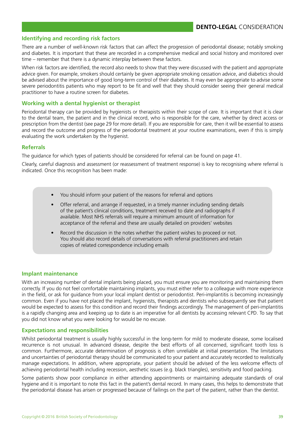#### **Identifying and recording risk factors**

There are a number of well-known risk factors that can affect the progression of periodontal disease; notably smoking and diabetes. It is important that these are recorded in a comprehensive medical and social history and monitored over time – remember that there is a dynamic interplay between these factors.

When risk factors are identified, the record also needs to show that they were discussed with the patient and appropriate advice given. For example, smokers should certainly be given appropriate smoking cessation advice, and diabetics should be advised about the importance of good long-term control of their diabetes. It may even be appropriate to advise some severe periodontitis patients who may report to be fit and well that they should consider seeing their general medical practitioner to have a routine screen for diabetes.

#### **Working with a dental hygienist or therapist**

Periodontal therapy can be provided by hygienists or therapists within their scope of care. It is important that it is clear to the dental team, the patient and in the clinical record, who is responsible for the care, whether by direct access or prescription from the dentist (see page 29 for more detail). If you are responsible for care, then it will be essential to assess and record the outcome and progress of the periodontal treatment at your routine examinations, even if this is simply evaluating the work undertaken by the hygienist.

#### **Referrals**

The guidance for which types of patients should be considered for referral can be found on page 41.

Clearly, careful diagnosis and assessment (or reassessment of treatment response) is key to recognising where referral is indicated. Once this recognition has been made:

- You should inform your patient of the reasons for referral and options
- Offer referral, and arrange if requested, in a timely manner including sending details of the patient's clinical conditions, treatment received to date and radiographs if available. Most NHS referrals will require a minimum amount of information for acceptance of the referral and these are usually detailed on providers' websites
- Record the discussion in the notes whether the patient wishes to proceed or not. You should also record details of conversations with referral practitioners and retain copies of related correspondence including emails

#### **Implant maintenance**

With an increasing number of dental implants being placed, you must ensure you are monitoring and maintaining them correctly. If you do not feel comfortable maintaining implants, you must either refer to a colleague with more experience in the field, or ask for guidance from your local implant dentist or periodontist. Peri-implantitis is becoming increasingly common. Even if you have not placed the implant, hygienists, therapists and dentists who subsequently see that patient would be expected to assess for this condition and record their findings accordingly. The management of peri-implantitis is a rapidly changing area and keeping up to date is an imperative for all dentists by accessing relevant CPD. To say that you did not know what you were looking for would be no excuse.

#### **Expectations and responsibilities**

Whilst periodontal treatment is usually highly successful in the long-term for mild to moderate disease, some localised recurrence is not unusual. In advanced disease, despite the best efforts of all concerned, significant tooth loss is common. Furthermore, accurate determination of prognosis is often unreliable at initial presentation. The limitations and uncertainties of periodontal therapy should be communicated to your patient and accurately recorded to realistically manage expectations. In addition, where appropriate, your patient should be advised of the less welcome effects of achieving periodontal health including recession, aesthetic issues (e.g. black triangles), sensitivity and food packing.

Some patients show poor compliance in either attending appointments or maintaining adequate standards of oral hygiene and it is important to note this fact in the patient's dental record. In many cases, this helps to demonstrate that the periodontal disease has arisen or progressed because of failings on the part of the patient, rather than the dentist.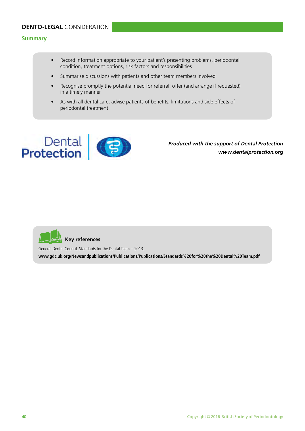#### **Summary**

- Record information appropriate to your patient's presenting problems, periodontal condition, treatment options, risk factors and responsibilities
- Summarise discussions with patients and other team members involved
- Recognise promptly the potential need for referral: offer (and arrange if requested) in a timely manner
- As with all dental care, advise patients of benefits, limitations and side effects of periodontal treatment



 *Produced with the support of Dental Protection www.dentalprotection.***org**



General Dental Council. Standards for the Dental Team – 2013.

**www.gdc.uk.org/Newsandpublications/Publications/Publications/Standards%20for%20the%20Dental%20Team.pdf**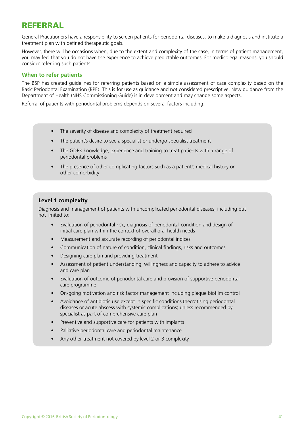## REFERRAL

General Practitioners have a responsibility to screen patients for periodontal diseases, to make a diagnosis and institute a treatment plan with defined therapeutic goals.

However, there will be occasions when, due to the extent and complexity of the case, in terms of patient management, you may feel that you do not have the experience to achieve predictable outcomes. For medicolegal reasons, you should consider referring such patients.

#### **When to refer patients**

The BSP has created guidelines for referring patients based on a simple assessment of case complexity based on the Basic Periodontal Examination (BPE). This is for use as guidance and not considered prescriptive. New guidance from the Department of Health (NHS Commissioning Guide) is in development and may change some aspects.

Referral of patients with periodontal problems depends on several factors including:

- The severity of disease and complexity of treatment required
- The patient's desire to see a specialist or undergo specialist treatment
- The GDP's knowledge, experience and training to treat patients with a range of periodontal problems
- The presence of other complicating factors such as a patient's medical history or other comorbidity

#### **Level 1 complexity**

Diagnosis and management of patients with uncomplicated periodontal diseases, including but not limited to:

- Evaluation of periodontal risk, diagnosis of periodontal condition and design of initial care plan within the context of overall oral health needs
- Measurement and accurate recording of periodontal indices
- Communication of nature of condition, clinical findings, risks and outcomes
- Designing care plan and providing treatment
- Assessment of patient understanding, willingness and capacity to adhere to advice and care plan
- Evaluation of outcome of periodontal care and provision of supportive periodontal care programme
- On-going motivation and risk factor management including plaque biofilm control
- Avoidance of antibiotic use except in specific conditions (necrotising periodontal diseases or acute abscess with systemic complications) unless recommended by specialist as part of comprehensive care plan
- Preventive and supportive care for patients with implants
- Palliative periodontal care and periodontal maintenance
- Any other treatment not covered by level 2 or 3 complexity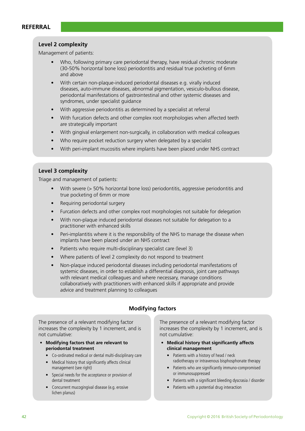#### **Level 2 complexity**

Management of patients:

- Who, following primary care periodontal therapy, have residual chronic moderate (30-50% horizontal bone loss) periodontitis and residual true pocketing of 6mm and above
- With certain non-plaque-induced periodontal diseases e.g. virally induced diseases, auto-immune diseases, abnormal pigmentation, vesiculo-bullous disease, periodontal manifestations of gastrointestinal and other systemic diseases and syndromes, under specialist guidance
- With aggressive periodontitis as determined by a specialist at referral
- With furcation defects and other complex root morphologies when affected teeth are strategically important
- With gingival enlargement non-surgically, in collaboration with medical colleagues
- Who require pocket reduction surgery when delegated by a specialist
- With peri-implant mucositis where implants have been placed under NHS contract

#### **Level 3 complexity**

Triage and management of patients:

- With severe (> 50% horizontal bone loss) periodontitis, aggressive periodontitis and true pocketing of 6mm or more
- Requiring periodontal surgery
- Furcation defects and other complex root morphologies not suitable for delegation
- With non-plaque induced periodontal diseases not suitable for delegation to a practitioner with enhanced skills
- Peri-implantitis where it is the responsibility of the NHS to manage the disease when implants have been placed under an NHS contract
- Patients who require multi-disciplinary specialist care (level 3)
- Where patients of level 2 complexity do not respond to treatment
- Non-plaque induced periodontal diseases including periodontal manifestations of systemic diseases, in order to establish a differential diagnosis, joint care pathways with relevant medical colleagues and where necessary, manage conditions collaboratively with practitioners with enhanced skills if appropriate and provide advice and treatment planning to colleagues

#### **Modifying factors**

The presence of a relevant modifying factor increases the complexity by 1 increment, and is not cumulative:

- **• Modifying factors that are relevant to periodontal treatment** 
	- Co-ordinated medical or dental multi-disciplinary care
	- Medical history that significantly affects clinical management (see right)
	- Special needs for the acceptance or provision of dental treatment
	- Concurrent mucogingival disease (e.g. erosive lichen planus)

The presence of a relevant modifying factor increases the complexity by 1 increment, and is not cumulative:

- **• Medical history that significantly affects clinical management** 
	- Patients with a history of head / neck radiotherapy or intravenous bisphosphonate therapy
	- Patients who are significantly immuno-compromised or immunosuppressed
	- Patients with a significant bleeding dyscrasia / disorder
	- Patients with a potential drug interaction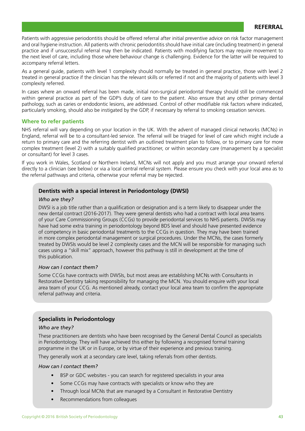#### **REFERRAL**

Patients with aggressive periodontitis should be offered referral after initial preventive advice on risk factor management and oral hygiene instruction. All patients with chronic periodontitis should have initial care (including treatment) in general practice and if unsuccessful referral may then be indicated. Patients with modifying factors may require movement to the next level of care, including those where behaviour change is challenging. Evidence for the latter will be required to accompany referral letters.

As a general guide, patients with level 1 complexity should normally be treated in general practice, those with level 2 treated in general practice if the clinician has the relevant skills or referred if not and the majority of patients with level 3 complexity referred.

In cases where an onward referral has been made, initial non-surgical periodontal therapy should still be commenced within general practice as part of the GDP's duty of care to the patient. Also ensure that any other primary dental pathology, such as caries or endodontic lesions, are addressed. Control of other modifiable risk factors where indicated, particularly smoking, should also be instigated by the GDP, if necessary by referral to smoking cessation services.

#### **Where to refer patients**

NHS referral will vary depending on your location in the UK. With the advent of managed clinical networks (MCNs) in England, referral will be to a consultant-led service. The referral will be triaged for level of care which might include a return to primary care and the referring dentist with an outlined treatment plan to follow, or to primary care for more complex treatment (level 2) with a suitably qualified practitioner, or within secondary care (management by a specialist or consultant) for level 3 cases.

If you work in Wales, Scotland or Northern Ireland, MCNs will not apply and you must arrange your onward referral directly to a clinician (see below) or via a local central referral system. Please ensure you check with your local area as to the referral pathways and criteria, otherwise your referral may be rejected.

#### **Dentists with a special interest in Periodontology (DWSI)**

#### *Who are they?*

DWSI is a job title rather than a qualification or designation and is a term likely to disappear under the new dental contract (2016-2017). They were general dentists who had a contract with local area teams of your Care Commissioning Groups (CCGs) to provide periodontal services to NHS patients. DWSIs may have had some extra training in periodontology beyond BDS level and should have presented evidence of competency in basic periodontal treatments to the CCGs in question. They may have been trained in more complex periodontal management or surgical procedures. Under the MCNs, the cases formerly treated by DWSIs would be level 2 complexity cases and the MCN will be responsible for managing such cases using a "skill mix" approach, however this pathway is still in development at the time of this publication.

#### *How can I contact them?*

Some CCGs have contracts with DWSIs, but most areas are establishing MCNs with Consultants in Restorative Dentistry taking responsibility for managing the MCN. You should enquire with your local area team of your CCG. As mentioned already, contact your local area team to confirm the appropriate referral pathway and criteria.

#### **Specialists in Periodontology**

#### *Who are they?*

These practitioners are dentists who have been recognised by the General Dental Council as specialists in Periodontology. They will have achieved this either by following a recognised formal training programme in the UK or in Europe, or by virtue of their experience and previous training.

They generally work at a secondary care level, taking referrals from other dentists.

#### *How can I contact them?*

- BSP or GDC websites you can search for registered specialists in your area
- Some CCGs may have contracts with specialists or know who they are
- Through local MCNs that are managed by a Consultant in Restorative Dentistry
- Recommendations from colleagues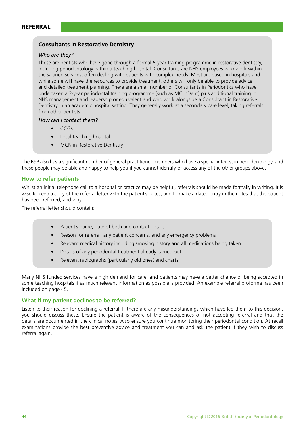#### **Consultants in Restorative Dentistry**

#### *Who are they?*

These are dentists who have gone through a formal 5-year training programme in restorative dentistry, including periodontology within a teaching hospital. Consultants are NHS employees who work within the salaried services, often dealing with patients with complex needs. Most are based in hospitals and while some will have the resources to provide treatment, others will only be able to provide advice and detailed treatment planning. There are a small number of Consultants in Periodontics who have undertaken a 3-year periodontal training programme (such as MClinDent) plus additional training in NHS management and leadership or equivalent and who work alongside a Consultant in Restorative Dentistry in an academic hospital setting. They generally work at a secondary care level, taking referrals from other dentists.

#### *How can I contact them?*

- CCGs
- Local teaching hospital
- MCN in Restorative Dentistry

The BSP also has a significant number of general practitioner members who have a special interest in periodontology, and these people may be able and happy to help you if you cannot identify or access any of the other groups above.

#### **How to refer patients**

Whilst an initial telephone call to a hospital or practice may be helpful, referrals should be made formally in writing. It is wise to keep a copy of the referral letter with the patient's notes, and to make a dated entry in the notes that the patient has been referred, and why.

The referral letter should contain:

- Patient's name, date of birth and contact details
- Reason for referral, any patient concerns, and any emergency problems
- Relevant medical history including smoking history and all medications being taken
- Details of any periodontal treatment already carried out
- Relevant radiographs (particularly old ones) and charts

Many NHS funded services have a high demand for care, and patients may have a better chance of being accepted in some teaching hospitals if as much relevant information as possible is provided. An example referral proforma has been included on page 45.

#### **What if my patient declines to be referred?**

Listen to their reason for declining a referral. If there are any misunderstandings which have led them to this decision, you should discuss these. Ensure the patient is aware of the consequences of not accepting referral and that the details are documented in the clinical notes. Also ensure you continue monitoring their periodontal condition. At recall examinations provide the best preventive advice and treatment you can and ask the patient if they wish to discuss referral again.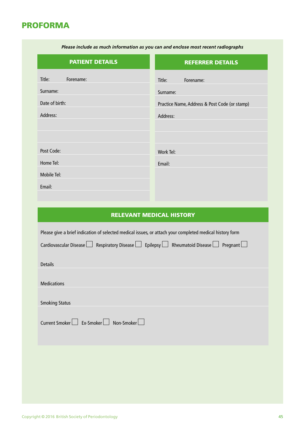## PROFORMA

| <b>PATIENT DETAILS</b> | <b>REFERRER DETAILS</b>                       |
|------------------------|-----------------------------------------------|
| Title:<br>Forename:    | Title:<br>Forename:                           |
| Surname:               | Surname:                                      |
| Date of birth:         | Practice Name, Address & Post Code (or stamp) |
| Address:               | Address:                                      |
|                        |                                               |
|                        |                                               |
| Post Code:             | Work Tel:                                     |
| Home Tel:              | Email:                                        |
| Mobile Tel:            |                                               |
| Email:                 |                                               |
|                        |                                               |

#### RELEVANT MEDICAL HISTORY

| Please give a brief indication of selected medical issues, or attach your completed medical history form           |
|--------------------------------------------------------------------------------------------------------------------|
| Cardiovascular Disease $\Box$ Respiratory Disease $\Box$ Epilepsy $\Box$ Rheumatoid Disease $\Box$ Pregnant $\Box$ |
| <b>Details</b>                                                                                                     |
|                                                                                                                    |
| <b>Medications</b>                                                                                                 |
| <b>Smoking Status</b>                                                                                              |
| Current Smoker L Ex-Smoker I Non-Smoker                                                                            |
|                                                                                                                    |

*Please include as much information as you can and enclose most recent radiographs*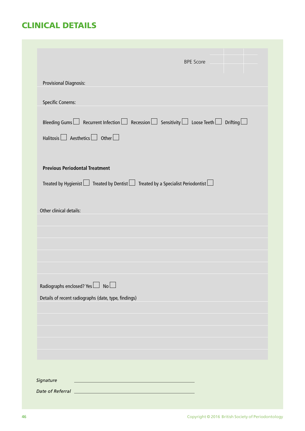## CLINICAL DETAILS

|                                                                                                                                                             |  | <b>BPE Score</b> |  |
|-------------------------------------------------------------------------------------------------------------------------------------------------------------|--|------------------|--|
| <b>Provisional Diagnosis:</b>                                                                                                                               |  |                  |  |
| <b>Specific Conerns:</b>                                                                                                                                    |  |                  |  |
| Bleeding Gums $\Box$ Recurrent Infection $\Box$ Recession $\Box$ Sensitivity $\Box$ Loose Teeth $\Box$ Drifting $\Box$<br>Halitosis <b>Aesthetics</b> Other |  |                  |  |
| <b>Previous Periodontal Treatment</b>                                                                                                                       |  |                  |  |
| Treated by Hygienist $\Box$ Treated by Dentist $\Box$ Treated by a Specialist Periodontist $\Box$                                                           |  |                  |  |
|                                                                                                                                                             |  |                  |  |
| Radiographs enclosed? Yes No                                                                                                                                |  |                  |  |
| Details of recent radiographs (date, type, findings)                                                                                                        |  |                  |  |
|                                                                                                                                                             |  |                  |  |
|                                                                                                                                                             |  |                  |  |
|                                                                                                                                                             |  |                  |  |
|                                                                                                                                                             |  |                  |  |